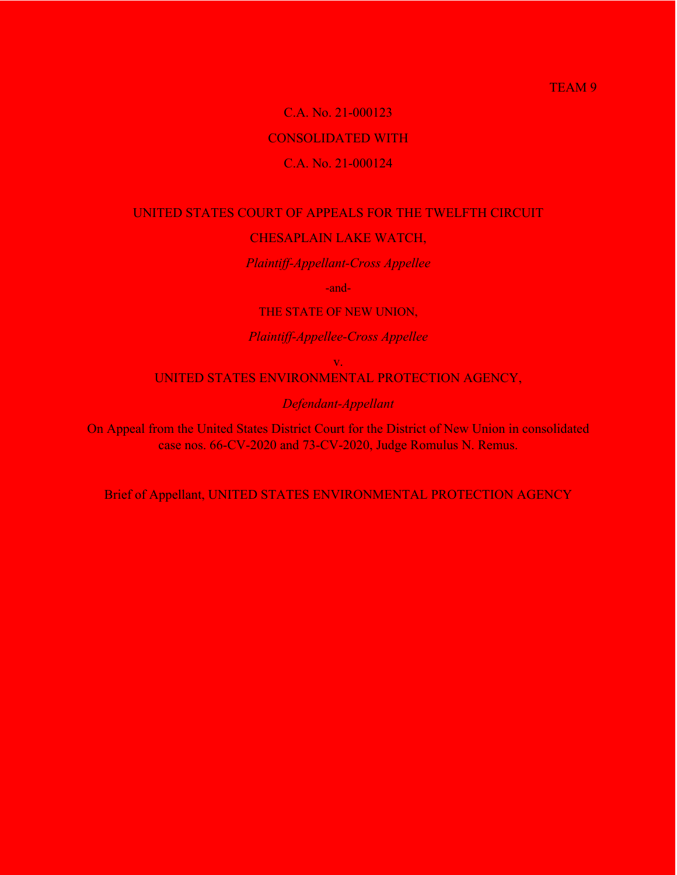### TEAM<sub>9</sub>

### C.A. No. 21-000123

## CONSOLIDATED WITH

## C.A. No. 21-000124

# UNITED STATES COURT OF APPEALS FOR THE TWELFTH CIRCUIT CHESAPLAIN LAKE WATCH,

*Plaintiff-Appellant-Cross Appellee*

-and-

THE STATE OF NEW UNION,

*Plaintiff-Appellee-Cross Appellee*

v.

UNITED STATES ENVIRONMENTAL PROTECTION AGENCY,

*Defendant-Appellant*

On Appeal from the United States District Court for the District of New Union in consolidated case nos. 66-CV-2020 and 73-CV-2020, Judge Romulus N. Remus.

Brief of Appellant, UNITED STATES ENVIRONMENTAL PROTECTION AGENCY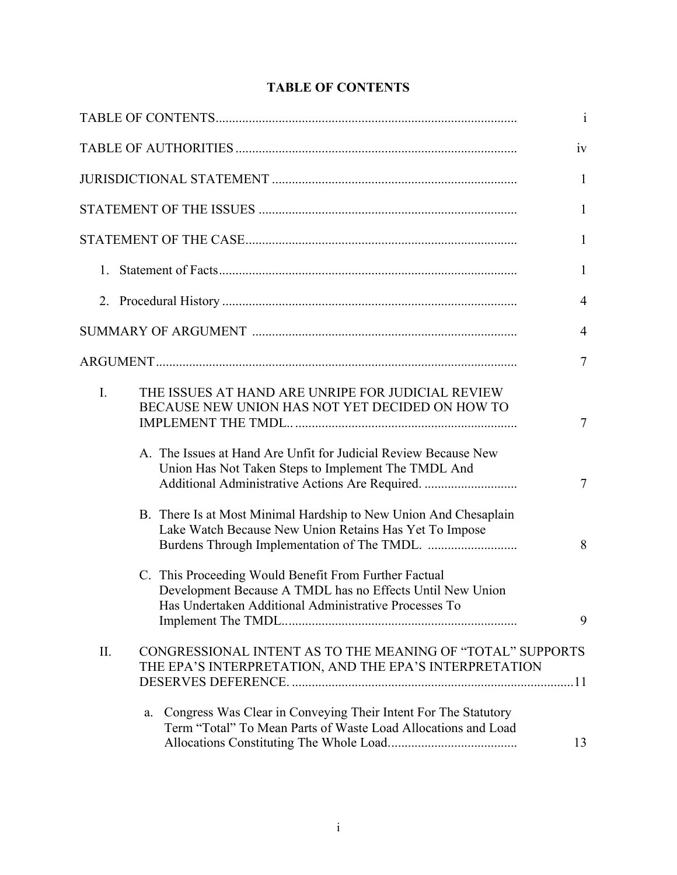# **TABLE OF CONTENTS**

|    |                                                                                                                                                                             | $\mathbf{i}$   |
|----|-----------------------------------------------------------------------------------------------------------------------------------------------------------------------------|----------------|
|    |                                                                                                                                                                             | iv             |
|    |                                                                                                                                                                             | 1              |
|    |                                                                                                                                                                             | $\mathbf{1}$   |
|    |                                                                                                                                                                             | $\mathbf{1}$   |
|    |                                                                                                                                                                             | $\mathbf{1}$   |
|    |                                                                                                                                                                             | $\overline{4}$ |
|    |                                                                                                                                                                             | $\overline{4}$ |
|    |                                                                                                                                                                             | $\overline{7}$ |
| I. | THE ISSUES AT HAND ARE UNRIPE FOR JUDICIAL REVIEW<br>BECAUSE NEW UNION HAS NOT YET DECIDED ON HOW TO                                                                        | 7              |
|    | A. The Issues at Hand Are Unfit for Judicial Review Because New<br>Union Has Not Taken Steps to Implement The TMDL And<br>Additional Administrative Actions Are Required.   | $\tau$         |
|    | B. There Is at Most Minimal Hardship to New Union And Chesaplain<br>Lake Watch Because New Union Retains Has Yet To Impose                                                  | 8              |
|    | C. This Proceeding Would Benefit From Further Factual<br>Development Because A TMDL has no Effects Until New Union<br>Has Undertaken Additional Administrative Processes To | 9              |
| Π. | CONGRESSIONAL INTENT AS TO THE MEANING OF "TOTAL" SUPPORTS<br>THE EPA'S INTERPRETATION, AND THE EPA'S INTERPRETATION                                                        |                |
|    | Congress Was Clear in Conveying Their Intent For The Statutory<br>a.<br>Term "Total" To Mean Parts of Waste Load Allocations and Load                                       | 13             |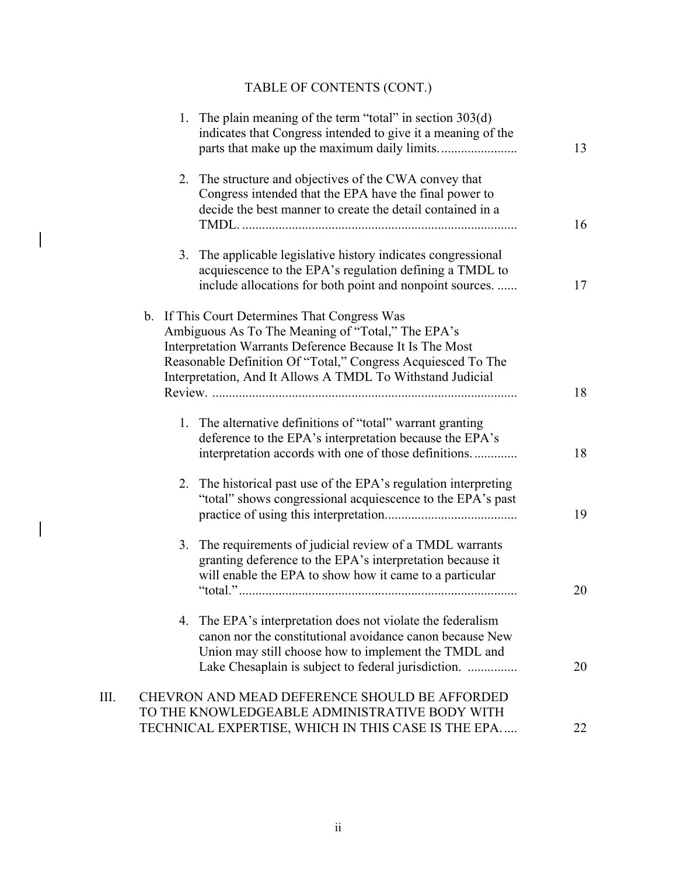# TABLE OF CONTENTS (CONT.)

 $\overline{\phantom{a}}$ 

 $\overline{\phantom{a}}$ 

|    | 1. The plain meaning of the term "total" in section $303(d)$<br>indicates that Congress intended to give it a meaning of the                                                                                                                                                                 | 13 |
|----|----------------------------------------------------------------------------------------------------------------------------------------------------------------------------------------------------------------------------------------------------------------------------------------------|----|
|    | 2. The structure and objectives of the CWA convey that<br>Congress intended that the EPA have the final power to<br>decide the best manner to create the detail contained in a                                                                                                               | 16 |
|    | 3. The applicable legislative history indicates congressional<br>acquiescence to the EPA's regulation defining a TMDL to<br>include allocations for both point and nonpoint sources.                                                                                                         | 17 |
|    | b. If This Court Determines That Congress Was<br>Ambiguous As To The Meaning of "Total," The EPA's<br>Interpretation Warrants Deference Because It Is The Most<br>Reasonable Definition Of "Total," Congress Acquiesced To The<br>Interpretation, And It Allows A TMDL To Withstand Judicial | 18 |
|    | 1. The alternative definitions of "total" warrant granting<br>deference to the EPA's interpretation because the EPA's<br>interpretation accords with one of those definitions                                                                                                                | 18 |
|    | 2. The historical past use of the EPA's regulation interpreting<br>"total" shows congressional acquiescence to the EPA's past                                                                                                                                                                | 19 |
|    | 3. The requirements of judicial review of a TMDL warrants<br>granting deference to the EPA's interpretation because it<br>will enable the EPA to show how it came to a particular                                                                                                            | 20 |
|    | 4. The EPA's interpretation does not violate the federalism<br>canon nor the constitutional avoidance canon because New<br>Union may still choose how to implement the TMDL and<br>Lake Chesaplain is subject to federal jurisdiction.                                                       | 20 |
| Ш. | CHEVRON AND MEAD DEFERENCE SHOULD BE AFFORDED<br>TO THE KNOWLEDGEABLE ADMINISTRATIVE BODY WITH<br>TECHNICAL EXPERTISE, WHICH IN THIS CASE IS THE EPA                                                                                                                                         | 22 |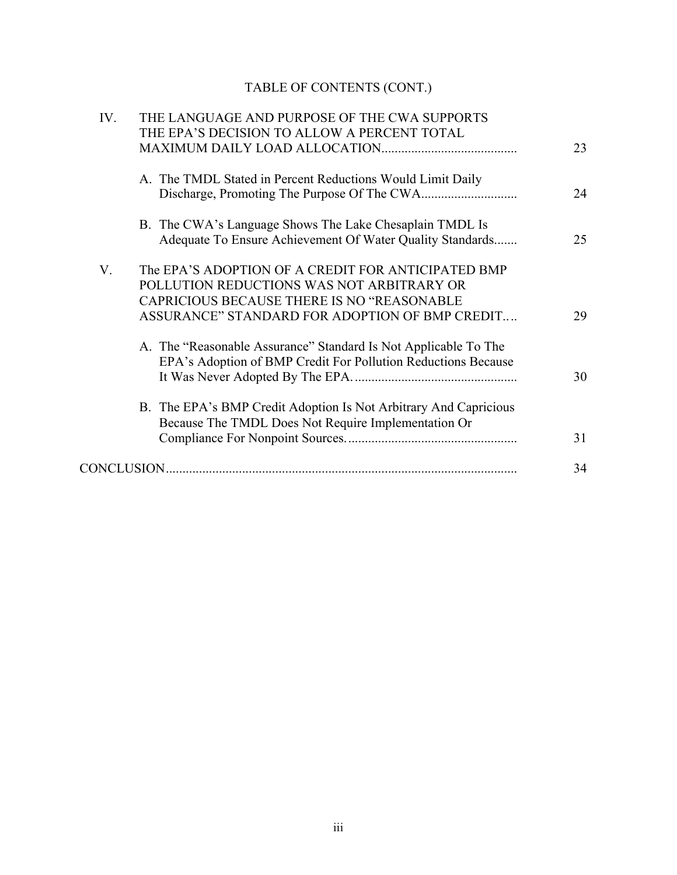# TABLE OF CONTENTS (CONT.)

| IV. | THE LANGUAGE AND PURPOSE OF THE CWA SUPPORTS                     |    |
|-----|------------------------------------------------------------------|----|
|     | THE EPA'S DECISION TO ALLOW A PERCENT TOTAL                      |    |
|     |                                                                  | 23 |
|     | A. The TMDL Stated in Percent Reductions Would Limit Daily       |    |
|     |                                                                  | 24 |
|     | B. The CWA's Language Shows The Lake Chesaplain TMDL Is          |    |
|     | Adequate To Ensure Achievement Of Water Quality Standards        | 25 |
| V.  | The EPA'S ADOPTION OF A CREDIT FOR ANTICIPATED BMP               |    |
|     | POLLUTION REDUCTIONS WAS NOT ARBITRARY OR                        |    |
|     | <b>CAPRICIOUS BECAUSE THERE IS NO "REASONABLE</b>                |    |
|     | ASSURANCE" STANDARD FOR ADOPTION OF BMP CREDIT                   | 29 |
|     | A. The "Reasonable Assurance" Standard Is Not Applicable To The  |    |
|     | EPA's Adoption of BMP Credit For Pollution Reductions Because    |    |
|     |                                                                  | 30 |
|     | B. The EPA's BMP Credit Adoption Is Not Arbitrary And Capricious |    |
|     | Because The TMDL Does Not Require Implementation Or              |    |
|     |                                                                  | 31 |
|     |                                                                  | 34 |
|     |                                                                  |    |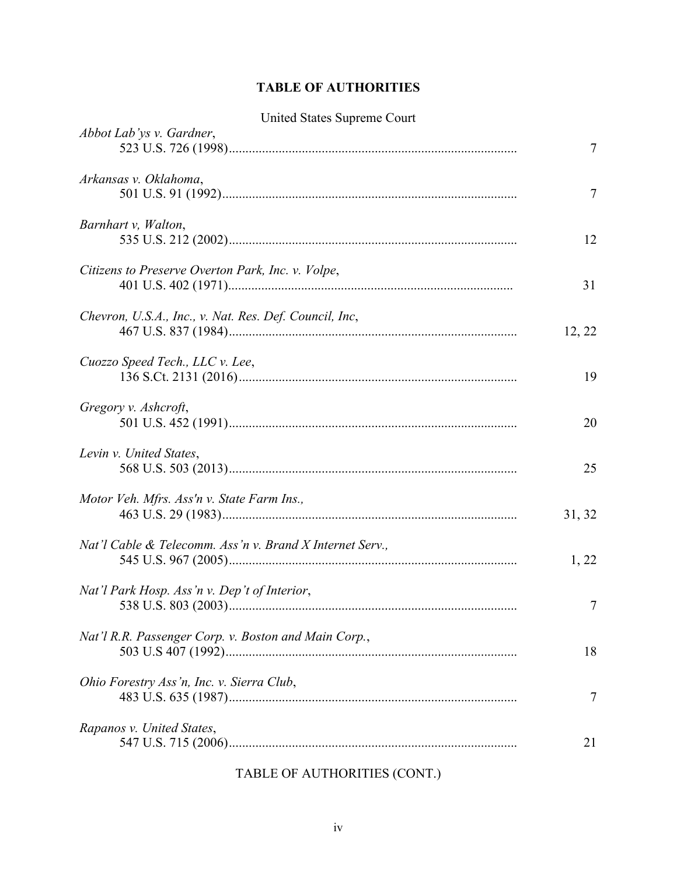# **TABLE OF AUTHORITIES**

|  |  | <b>United States Supreme Court</b> |  |
|--|--|------------------------------------|--|
|--|--|------------------------------------|--|

| Abbot Lab'ys v. Gardner,                                 | 7      |
|----------------------------------------------------------|--------|
| Arkansas v. Oklahoma,                                    | 7      |
| Barnhart v, Walton,                                      | 12     |
| Citizens to Preserve Overton Park, Inc. v. Volpe,        | 31     |
| Chevron, U.S.A., Inc., v. Nat. Res. Def. Council, Inc,   | 12, 22 |
| Cuozzo Speed Tech., LLC v. Lee,                          | 19     |
| Gregory v. Ashcroft,                                     | 20     |
| Levin v. United States,                                  | 25     |
| Motor Veh. Mfrs. Ass'n v. State Farm Ins.,               | 31, 32 |
| Nat'l Cable & Telecomm. Ass'n v. Brand X Internet Serv., | 1, 22  |
| Nat'l Park Hosp. Ass'n v. Dep't of Interior,             | 7      |
| Nat'l R.R. Passenger Corp. v. Boston and Main Corp.,     | 18     |
| Ohio Forestry Ass'n, Inc. v. Sierra Club,                | 7      |
| Rapanos v. United States,                                | 21     |

# TABLE OF AUTHORITIES (CONT.)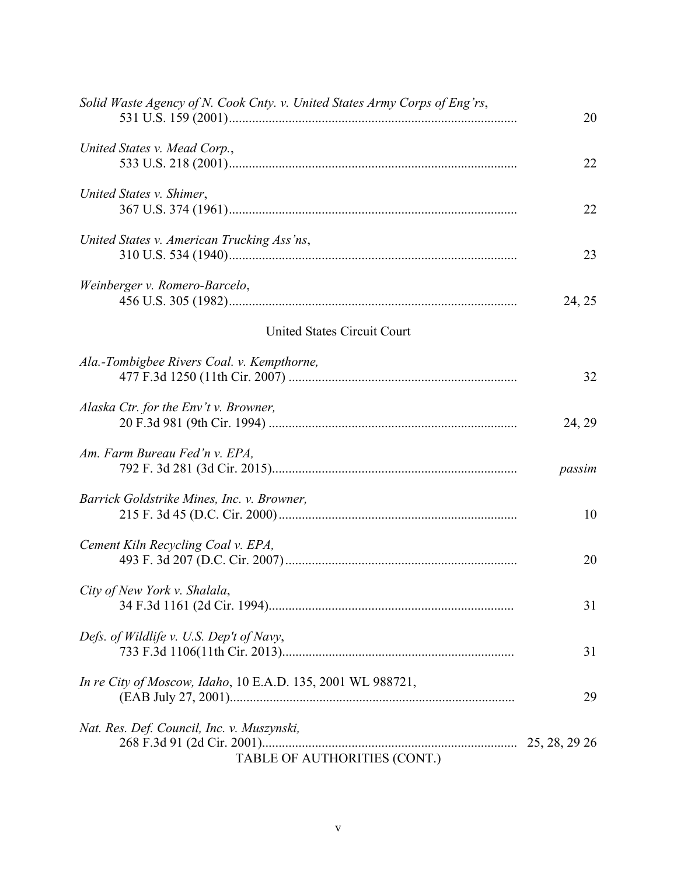| Solid Waste Agency of N. Cook Cnty. v. United States Army Corps of Eng'rs, | 20     |
|----------------------------------------------------------------------------|--------|
| United States v. Mead Corp.,                                               | 22     |
| United States v. Shimer,                                                   | 22     |
| United States v. American Trucking Ass'ns,                                 | 23     |
| Weinberger v. Romero-Barcelo,                                              | 24, 25 |
| United States Circuit Court                                                |        |
| Ala.-Tombigbee Rivers Coal. v. Kempthorne,                                 | 32     |
| Alaska Ctr. for the Env't v. Browner,                                      | 24, 29 |
| Am. Farm Bureau Fed'n v. EPA,                                              | passim |
| Barrick Goldstrike Mines, Inc. v. Browner,                                 | 10     |
| Cement Kiln Recycling Coal v. EPA,                                         | 20     |
| City of New York v. Shalala,                                               | 31     |
| Defs. of Wildlife v. U.S. Dep't of Navy,                                   | 31     |
| In re City of Moscow, Idaho, 10 E.A.D. 135, 2001 WL 988721,                | 29     |
| Nat. Res. Def. Council, Inc. v. Muszynski,<br>TABLE OF AUTHORITIES (CONT.) |        |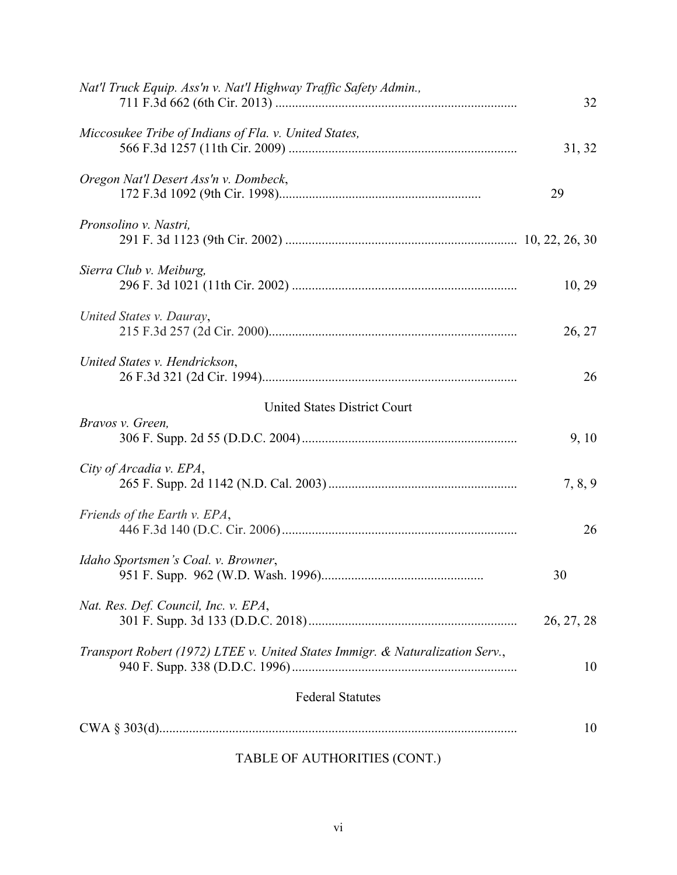| 32         |
|------------|
| 31, 32     |
| 29         |
|            |
| 10, 29     |
| 26, 27     |
| 26         |
|            |
| 9, 10      |
| 7, 8, 9    |
| 26         |
| 30         |
| 26, 27, 28 |
| 10         |
|            |
| 10         |
|            |

# TABLE OF AUTHORITIES (CONT.)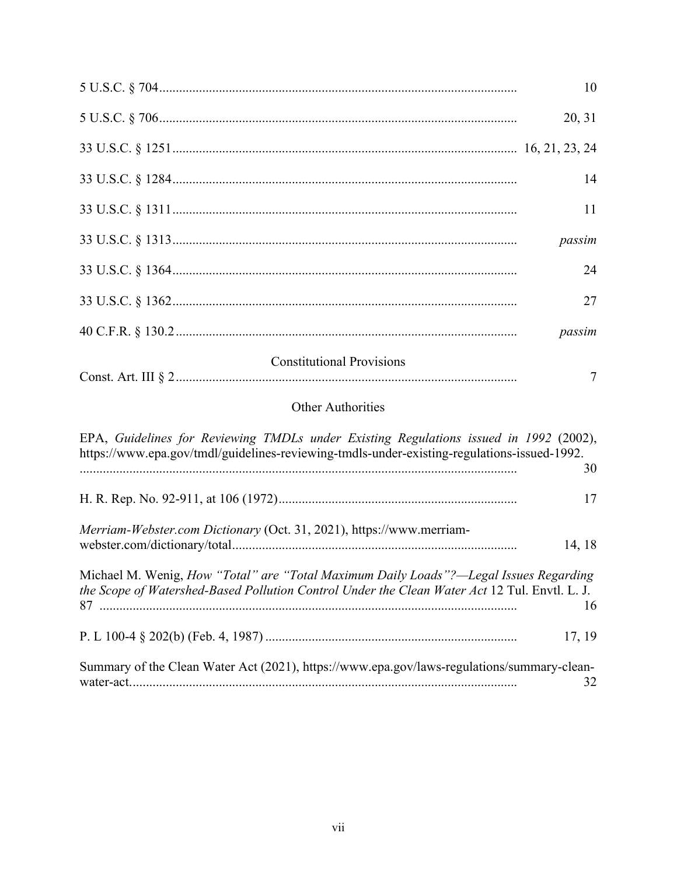|                                                                                                                                                                                        | 10     |
|----------------------------------------------------------------------------------------------------------------------------------------------------------------------------------------|--------|
|                                                                                                                                                                                        | 20, 31 |
|                                                                                                                                                                                        |        |
|                                                                                                                                                                                        | 14     |
|                                                                                                                                                                                        | 11     |
|                                                                                                                                                                                        | passim |
|                                                                                                                                                                                        | 24     |
|                                                                                                                                                                                        | 27     |
|                                                                                                                                                                                        | passim |
| <b>Constitutional Provisions</b>                                                                                                                                                       | 7      |
| <b>Other Authorities</b>                                                                                                                                                               |        |
| EPA, Guidelines for Reviewing TMDLs under Existing Regulations issued in 1992 (2002),<br>https://www.epa.gov/tmdl/guidelines-reviewing-tmdls-under-existing-regulations-issued-1992.   | 30     |
|                                                                                                                                                                                        | 17     |
| Merriam-Webster.com Dictionary (Oct. 31, 2021), https://www.merriam-                                                                                                                   | 14, 18 |
| Michael M. Wenig, How "Total" are "Total Maximum Daily Loads"?-legal Issues Regarding<br>the Scope of Watershed-Based Pollution Control Under the Clean Water Act 12 Tul. Envtl. L. J. | 16     |
|                                                                                                                                                                                        | 17, 19 |
| Summary of the Clean Water Act (2021), https://www.epa.gov/laws-regulations/summary-clean-                                                                                             | 32     |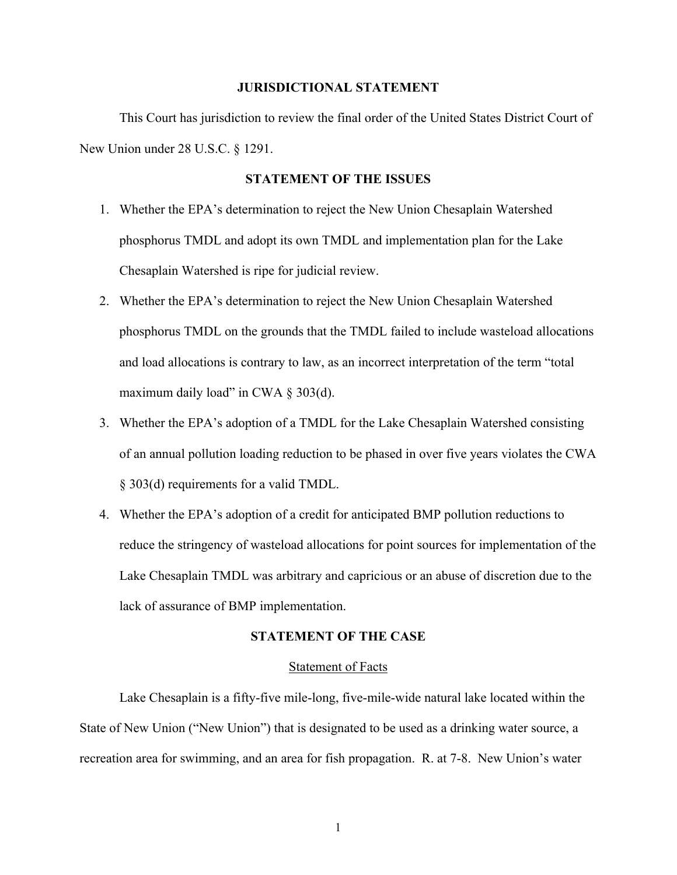### **JURISDICTIONAL STATEMENT**

This Court has jurisdiction to review the final order of the United States District Court of New Union under 28 U.S.C. § 1291.

### **STATEMENT OF THE ISSUES**

- 1. Whether the EPA's determination to reject the New Union Chesaplain Watershed phosphorus TMDL and adopt its own TMDL and implementation plan for the Lake Chesaplain Watershed is ripe for judicial review.
- 2. Whether the EPA's determination to reject the New Union Chesaplain Watershed phosphorus TMDL on the grounds that the TMDL failed to include wasteload allocations and load allocations is contrary to law, as an incorrect interpretation of the term "total maximum daily load" in CWA  $\S$  303(d).
- 3. Whether the EPA's adoption of a TMDL for the Lake Chesaplain Watershed consisting of an annual pollution loading reduction to be phased in over five years violates the CWA § 303(d) requirements for a valid TMDL.
- 4. Whether the EPA's adoption of a credit for anticipated BMP pollution reductions to reduce the stringency of wasteload allocations for point sources for implementation of the Lake Chesaplain TMDL was arbitrary and capricious or an abuse of discretion due to the lack of assurance of BMP implementation.

## **STATEMENT OF THE CASE**

#### Statement of Facts

Lake Chesaplain is a fifty-five mile-long, five-mile-wide natural lake located within the State of New Union ("New Union") that is designated to be used as a drinking water source, a recreation area for swimming, and an area for fish propagation. R. at 7-8. New Union's water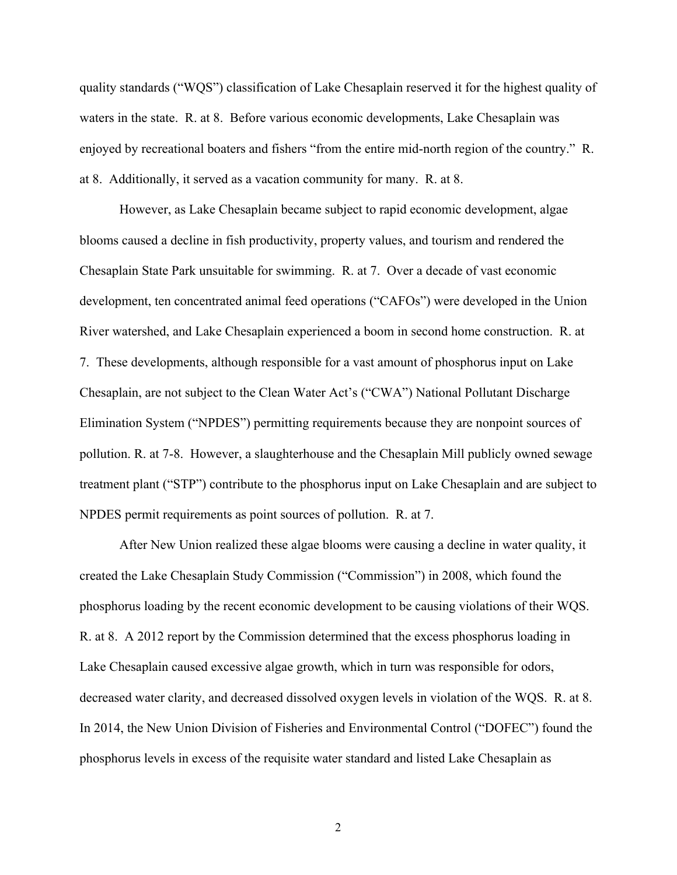quality standards ("WQS") classification of Lake Chesaplain reserved it for the highest quality of waters in the state. R. at 8. Before various economic developments, Lake Chesaplain was enjoyed by recreational boaters and fishers "from the entire mid-north region of the country." R. at 8. Additionally, it served as a vacation community for many. R. at 8.

However, as Lake Chesaplain became subject to rapid economic development, algae blooms caused a decline in fish productivity, property values, and tourism and rendered the Chesaplain State Park unsuitable for swimming. R. at 7. Over a decade of vast economic development, ten concentrated animal feed operations ("CAFOs") were developed in the Union River watershed, and Lake Chesaplain experienced a boom in second home construction. R. at 7. These developments, although responsible for a vast amount of phosphorus input on Lake Chesaplain, are not subject to the Clean Water Act's ("CWA") National Pollutant Discharge Elimination System ("NPDES") permitting requirements because they are nonpoint sources of pollution. R. at 7-8. However, a slaughterhouse and the Chesaplain Mill publicly owned sewage treatment plant ("STP") contribute to the phosphorus input on Lake Chesaplain and are subject to NPDES permit requirements as point sources of pollution. R. at 7.

After New Union realized these algae blooms were causing a decline in water quality, it created the Lake Chesaplain Study Commission ("Commission") in 2008, which found the phosphorus loading by the recent economic development to be causing violations of their WQS. R. at 8. A 2012 report by the Commission determined that the excess phosphorus loading in Lake Chesaplain caused excessive algae growth, which in turn was responsible for odors, decreased water clarity, and decreased dissolved oxygen levels in violation of the WQS. R. at 8. In 2014, the New Union Division of Fisheries and Environmental Control ("DOFEC") found the phosphorus levels in excess of the requisite water standard and listed Lake Chesaplain as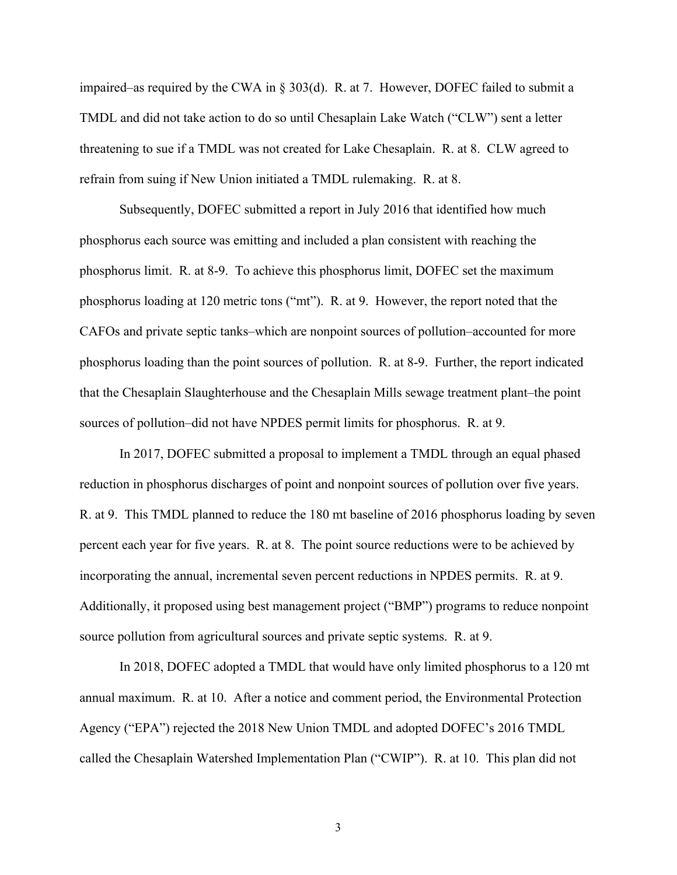impaired–as required by the CWA in § 303(d). R. at 7. However, DOFEC failed to submit a TMDL and did not take action to do so until Chesaplain Lake Watch ("CLW") sent a letter threatening to sue if a TMDL was not created for Lake Chesaplain. R. at 8. CLW agreed to refrain from suing if New Union initiated a TMDL rulemaking. R. at 8.

Subsequently, DOFEC submitted a report in July 2016 that identified how much phosphorus each source was emitting and included a plan consistent with reaching the phosphorus limit. R. at 8-9. To achieve this phosphorus limit, DOFEC set the maximum phosphorus loading at 120 metric tons ("mt"). R. at 9. However, the report noted that the CAFOs and private septic tanks–which are nonpoint sources of pollution–accounted for more phosphorus loading than the point sources of pollution. R. at 8-9. Further, the report indicated that the Chesaplain Slaughterhouse and the Chesaplain Mills sewage treatment plant–the point sources of pollution–did not have NPDES permit limits for phosphorus. R. at 9.

In 2017, DOFEC submitted a proposal to implement a TMDL through an equal phased reduction in phosphorus discharges of point and nonpoint sources of pollution over five years. R. at 9. This TMDL planned to reduce the 180 mt baseline of 2016 phosphorus loading by seven percent each year for five years. R. at 8. The point source reductions were to be achieved by incorporating the annual, incremental seven percent reductions in NPDES permits. R. at 9. Additionally, it proposed using best management project ("BMP") programs to reduce nonpoint source pollution from agricultural sources and private septic systems. R. at 9.

In 2018, DOFEC adopted a TMDL that would have only limited phosphorus to a 120 mt annual maximum. R. at 10. After a notice and comment period, the Environmental Protection Agency ("EPA") rejected the 2018 New Union TMDL and adopted DOFEC's 2016 TMDL called the Chesaplain Watershed Implementation Plan ("CWIP"). R. at 10. This plan did not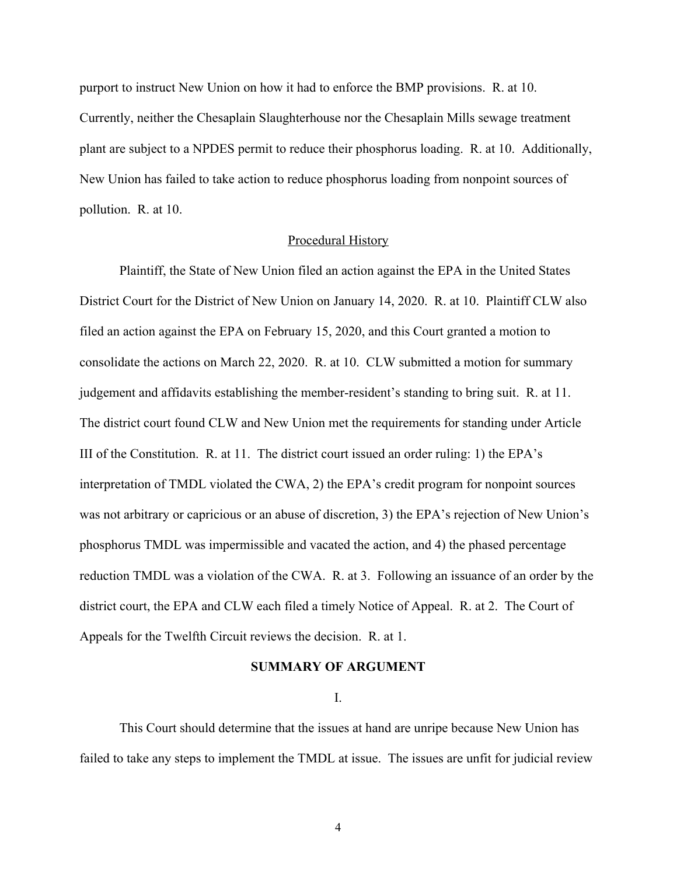purport to instruct New Union on how it had to enforce the BMP provisions. R. at 10. Currently, neither the Chesaplain Slaughterhouse nor the Chesaplain Mills sewage treatment plant are subject to a NPDES permit to reduce their phosphorus loading. R. at 10. Additionally, New Union has failed to take action to reduce phosphorus loading from nonpoint sources of pollution. R. at 10.

### Procedural History

Plaintiff, the State of New Union filed an action against the EPA in the United States District Court for the District of New Union on January 14, 2020. R. at 10. Plaintiff CLW also filed an action against the EPA on February 15, 2020, and this Court granted a motion to consolidate the actions on March 22, 2020. R. at 10. CLW submitted a motion for summary judgement and affidavits establishing the member-resident's standing to bring suit. R. at 11. The district court found CLW and New Union met the requirements for standing under Article III of the Constitution. R. at 11. The district court issued an order ruling: 1) the EPA's interpretation of TMDL violated the CWA, 2) the EPA's credit program for nonpoint sources was not arbitrary or capricious or an abuse of discretion, 3) the EPA's rejection of New Union's phosphorus TMDL was impermissible and vacated the action, and 4) the phased percentage reduction TMDL was a violation of the CWA. R. at 3. Following an issuance of an order by the district court, the EPA and CLW each filed a timely Notice of Appeal. R. at 2. The Court of Appeals for the Twelfth Circuit reviews the decision. R. at 1.

### **SUMMARY OF ARGUMENT**

I.

This Court should determine that the issues at hand are unripe because New Union has failed to take any steps to implement the TMDL at issue. The issues are unfit for judicial review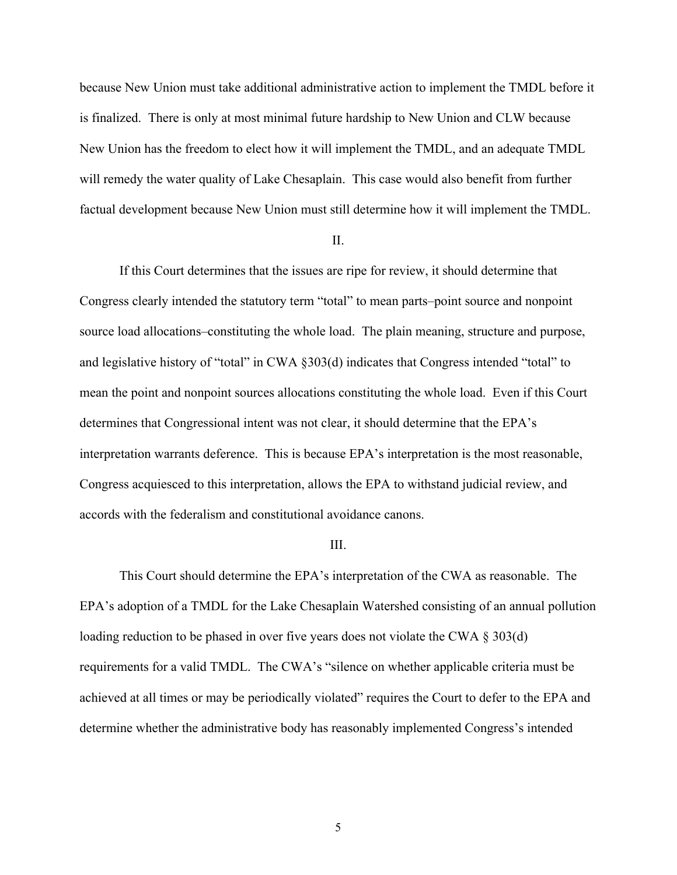because New Union must take additional administrative action to implement the TMDL before it is finalized. There is only at most minimal future hardship to New Union and CLW because New Union has the freedom to elect how it will implement the TMDL, and an adequate TMDL will remedy the water quality of Lake Chesaplain. This case would also benefit from further factual development because New Union must still determine how it will implement the TMDL.

#### II.

If this Court determines that the issues are ripe for review, it should determine that Congress clearly intended the statutory term "total" to mean parts–point source and nonpoint source load allocations–constituting the whole load. The plain meaning, structure and purpose, and legislative history of "total" in CWA §303(d) indicates that Congress intended "total" to mean the point and nonpoint sources allocations constituting the whole load. Even if this Court determines that Congressional intent was not clear, it should determine that the EPA's interpretation warrants deference. This is because EPA's interpretation is the most reasonable, Congress acquiesced to this interpretation, allows the EPA to withstand judicial review, and accords with the federalism and constitutional avoidance canons.

#### III.

This Court should determine the EPA's interpretation of the CWA as reasonable. The EPA's adoption of a TMDL for the Lake Chesaplain Watershed consisting of an annual pollution loading reduction to be phased in over five years does not violate the CWA § 303(d) requirements for a valid TMDL. The CWA's "silence on whether applicable criteria must be achieved at all times or may be periodically violated" requires the Court to defer to the EPA and determine whether the administrative body has reasonably implemented Congress's intended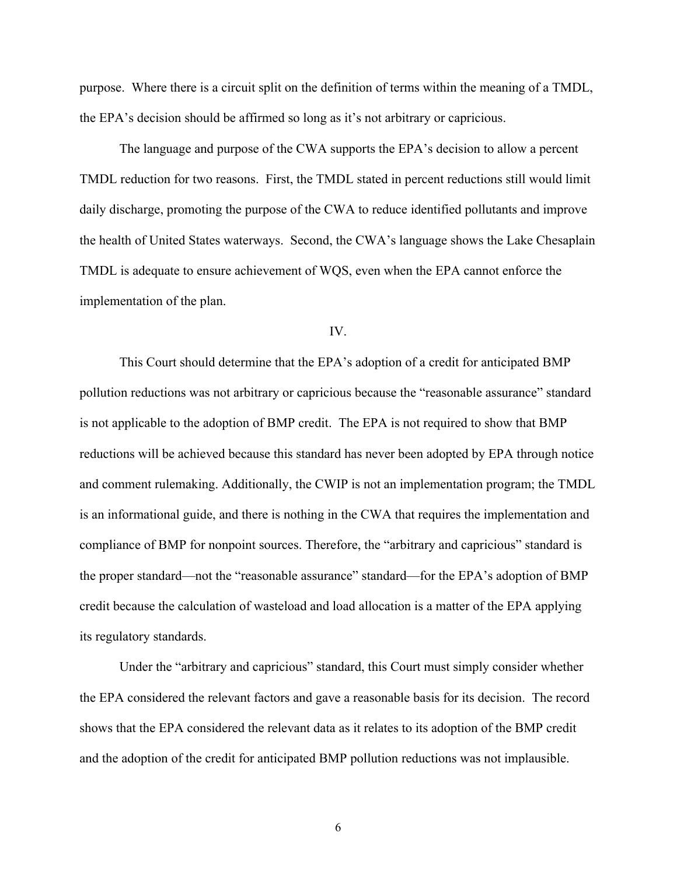purpose. Where there is a circuit split on the definition of terms within the meaning of a TMDL, the EPA's decision should be affirmed so long as it's not arbitrary or capricious.

The language and purpose of the CWA supports the EPA's decision to allow a percent TMDL reduction for two reasons. First, the TMDL stated in percent reductions still would limit daily discharge, promoting the purpose of the CWA to reduce identified pollutants and improve the health of United States waterways. Second, the CWA's language shows the Lake Chesaplain TMDL is adequate to ensure achievement of WQS, even when the EPA cannot enforce the implementation of the plan.

### IV.

This Court should determine that the EPA's adoption of a credit for anticipated BMP pollution reductions was not arbitrary or capricious because the "reasonable assurance" standard is not applicable to the adoption of BMP credit. The EPA is not required to show that BMP reductions will be achieved because this standard has never been adopted by EPA through notice and comment rulemaking. Additionally, the CWIP is not an implementation program; the TMDL is an informational guide, and there is nothing in the CWA that requires the implementation and compliance of BMP for nonpoint sources. Therefore, the "arbitrary and capricious" standard is the proper standard—not the "reasonable assurance" standard—for the EPA's adoption of BMP credit because the calculation of wasteload and load allocation is a matter of the EPA applying its regulatory standards.

Under the "arbitrary and capricious" standard, this Court must simply consider whether the EPA considered the relevant factors and gave a reasonable basis for its decision. The record shows that the EPA considered the relevant data as it relates to its adoption of the BMP credit and the adoption of the credit for anticipated BMP pollution reductions was not implausible.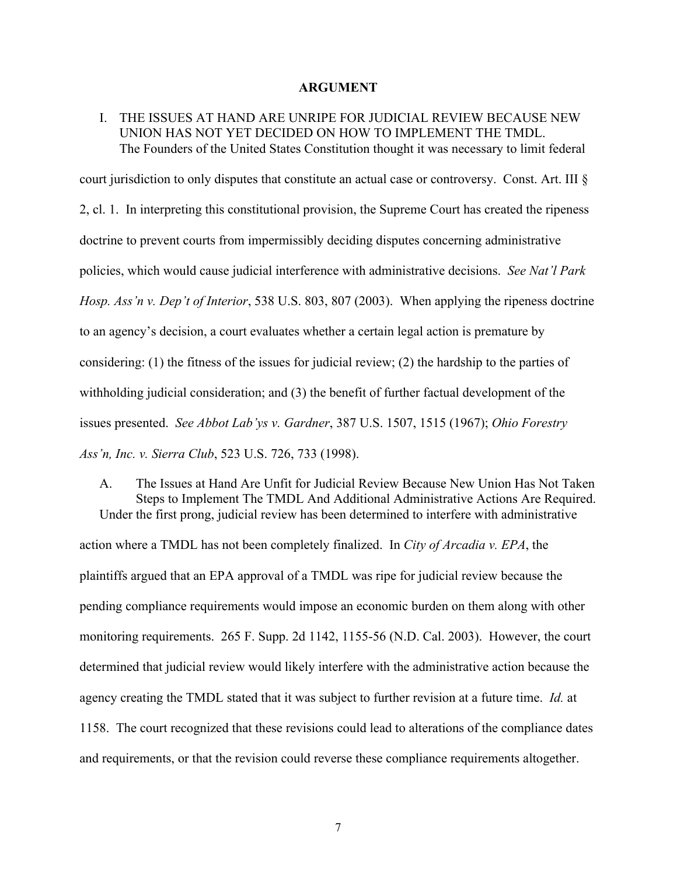#### **ARGUMENT**

# I. THE ISSUES AT HAND ARE UNRIPE FOR JUDICIAL REVIEW BECAUSE NEW UNION HAS NOT YET DECIDED ON HOW TO IMPLEMENT THE TMDL. The Founders of the United States Constitution thought it was necessary to limit federal

court jurisdiction to only disputes that constitute an actual case or controversy. Const. Art. III § 2, cl. 1. In interpreting this constitutional provision, the Supreme Court has created the ripeness doctrine to prevent courts from impermissibly deciding disputes concerning administrative policies, which would cause judicial interference with administrative decisions. *See Nat'l Park Hosp. Ass'n v. Dep't of Interior*, 538 U.S. 803, 807 (2003). When applying the ripeness doctrine to an agency's decision, a court evaluates whether a certain legal action is premature by considering: (1) the fitness of the issues for judicial review; (2) the hardship to the parties of withholding judicial consideration; and (3) the benefit of further factual development of the issues presented. *See Abbot Lab'ys v. Gardner*, 387 U.S. 1507, 1515 (1967); *Ohio Forestry Ass'n, Inc. v. Sierra Club*, 523 U.S. 726, 733 (1998).

A. The Issues at Hand Are Unfit for Judicial Review Because New Union Has Not Taken Steps to Implement The TMDL And Additional Administrative Actions Are Required. Under the first prong, judicial review has been determined to interfere with administrative action where a TMDL has not been completely finalized. In *City of Arcadia v. EPA*, the plaintiffs argued that an EPA approval of a TMDL was ripe for judicial review because the pending compliance requirements would impose an economic burden on them along with other monitoring requirements. 265 F. Supp. 2d 1142, 1155-56 (N.D. Cal. 2003). However, the court determined that judicial review would likely interfere with the administrative action because the agency creating the TMDL stated that it was subject to further revision at a future time. *Id.* at 1158. The court recognized that these revisions could lead to alterations of the compliance dates and requirements, or that the revision could reverse these compliance requirements altogether.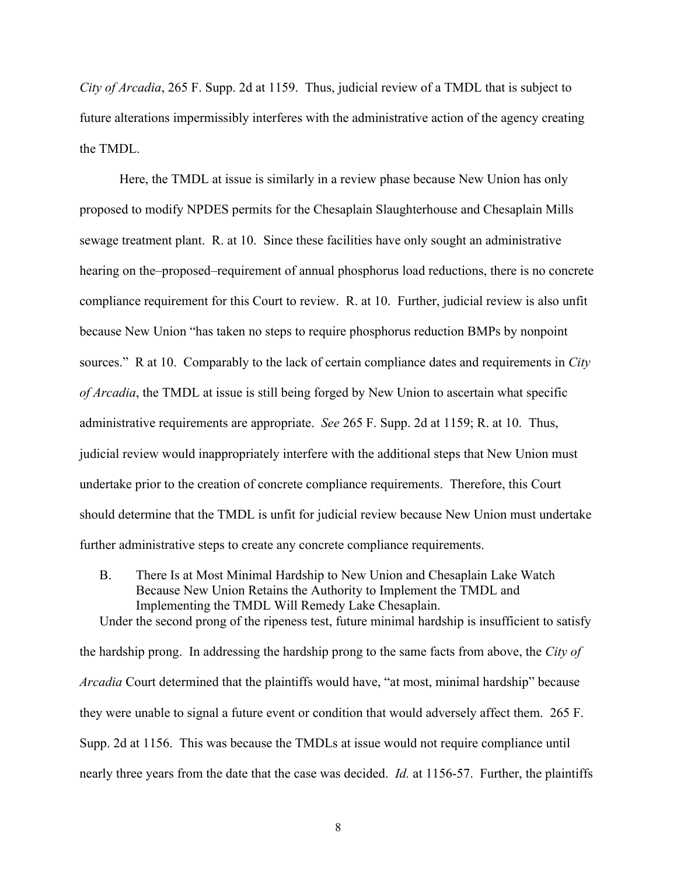*City of Arcadia*, 265 F. Supp. 2d at 1159. Thus, judicial review of a TMDL that is subject to future alterations impermissibly interferes with the administrative action of the agency creating the TMDL.

Here, the TMDL at issue is similarly in a review phase because New Union has only proposed to modify NPDES permits for the Chesaplain Slaughterhouse and Chesaplain Mills sewage treatment plant. R. at 10. Since these facilities have only sought an administrative hearing on the–proposed–requirement of annual phosphorus load reductions, there is no concrete compliance requirement for this Court to review. R. at 10. Further, judicial review is also unfit because New Union "has taken no steps to require phosphorus reduction BMPs by nonpoint sources." R at 10. Comparably to the lack of certain compliance dates and requirements in *City of Arcadia*, the TMDL at issue is still being forged by New Union to ascertain what specific administrative requirements are appropriate. *See* 265 F. Supp. 2d at 1159; R. at 10. Thus, judicial review would inappropriately interfere with the additional steps that New Union must undertake prior to the creation of concrete compliance requirements. Therefore, this Court should determine that the TMDL is unfit for judicial review because New Union must undertake further administrative steps to create any concrete compliance requirements.

B. There Is at Most Minimal Hardship to New Union and Chesaplain Lake Watch Because New Union Retains the Authority to Implement the TMDL and Implementing the TMDL Will Remedy Lake Chesaplain. Under the second prong of the ripeness test, future minimal hardship is insufficient to satisfy

the hardship prong. In addressing the hardship prong to the same facts from above, the *City of Arcadia* Court determined that the plaintiffs would have, "at most, minimal hardship" because they were unable to signal a future event or condition that would adversely affect them. 265 F. Supp. 2d at 1156. This was because the TMDLs at issue would not require compliance until nearly three years from the date that the case was decided. *Id.* at 1156-57. Further, the plaintiffs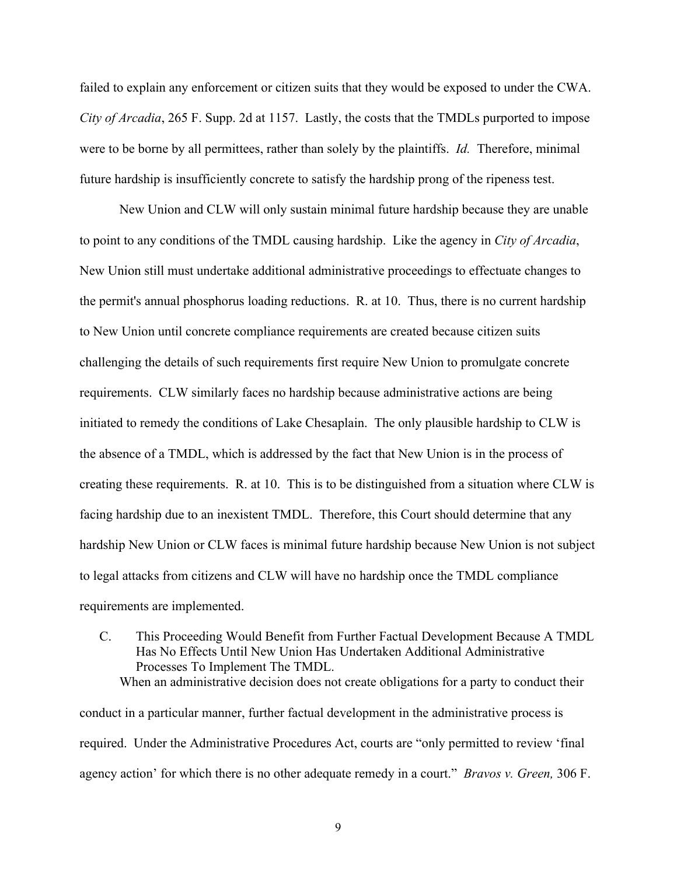failed to explain any enforcement or citizen suits that they would be exposed to under the CWA. *City of Arcadia*, 265 F. Supp. 2d at 1157. Lastly, the costs that the TMDLs purported to impose were to be borne by all permittees, rather than solely by the plaintiffs. *Id.* Therefore, minimal future hardship is insufficiently concrete to satisfy the hardship prong of the ripeness test.

New Union and CLW will only sustain minimal future hardship because they are unable to point to any conditions of the TMDL causing hardship. Like the agency in *City of Arcadia*, New Union still must undertake additional administrative proceedings to effectuate changes to the permit's annual phosphorus loading reductions. R. at 10. Thus, there is no current hardship to New Union until concrete compliance requirements are created because citizen suits challenging the details of such requirements first require New Union to promulgate concrete requirements. CLW similarly faces no hardship because administrative actions are being initiated to remedy the conditions of Lake Chesaplain. The only plausible hardship to CLW is the absence of a TMDL, which is addressed by the fact that New Union is in the process of creating these requirements. R. at 10. This is to be distinguished from a situation where CLW is facing hardship due to an inexistent TMDL. Therefore, this Court should determine that any hardship New Union or CLW faces is minimal future hardship because New Union is not subject to legal attacks from citizens and CLW will have no hardship once the TMDL compliance requirements are implemented.

C. This Proceeding Would Benefit from Further Factual Development Because A TMDL Has No Effects Until New Union Has Undertaken Additional Administrative Processes To Implement The TMDL. When an administrative decision does not create obligations for a party to conduct their

conduct in a particular manner, further factual development in the administrative process is required. Under the Administrative Procedures Act, courts are "only permitted to review 'final agency action' for which there is no other adequate remedy in a court." *Bravos v. Green,* 306 F.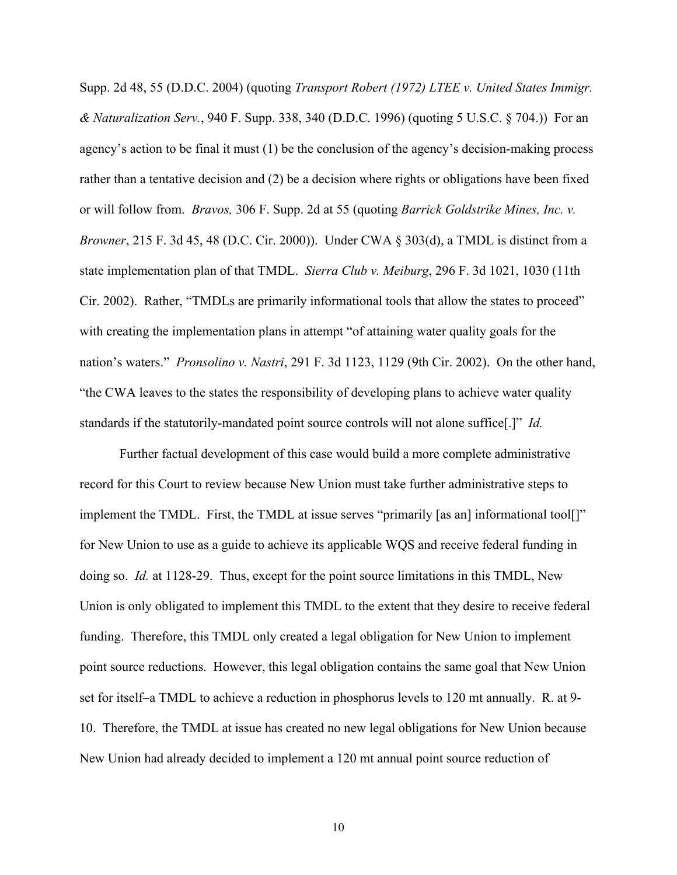Supp. 2d 48, 55 (D.D.C. 2004) (quoting *Transport Robert (1972) LTEE v. United States Immigr. & Naturalization Serv.*, 940 F. Supp. 338, 340 (D.D.C. 1996) (quoting 5 U.S.C. § 704.)) For an agency's action to be final it must (1) be the conclusion of the agency's decision-making process rather than a tentative decision and (2) be a decision where rights or obligations have been fixed or will follow from. *Bravos,* 306 F. Supp. 2d at 55 (quoting *Barrick Goldstrike Mines, Inc. v. Browner*, 215 F. 3d 45, 48 (D.C. Cir. 2000)). Under CWA § 303(d), a TMDL is distinct from a state implementation plan of that TMDL. *Sierra Club v. Meiburg*, 296 F. 3d 1021, 1030 (11th Cir. 2002). Rather, "TMDLs are primarily informational tools that allow the states to proceed" with creating the implementation plans in attempt "of attaining water quality goals for the nation's waters." *Pronsolino v. Nastri*, 291 F. 3d 1123, 1129 (9th Cir. 2002). On the other hand, "the CWA leaves to the states the responsibility of developing plans to achieve water quality standards if the statutorily-mandated point source controls will not alone suffice[.]" *Id.* 

Further factual development of this case would build a more complete administrative record for this Court to review because New Union must take further administrative steps to implement the TMDL. First, the TMDL at issue serves "primarily [as an] informational tool[]" for New Union to use as a guide to achieve its applicable WQS and receive federal funding in doing so. *Id.* at 1128-29. Thus, except for the point source limitations in this TMDL, New Union is only obligated to implement this TMDL to the extent that they desire to receive federal funding. Therefore, this TMDL only created a legal obligation for New Union to implement point source reductions. However, this legal obligation contains the same goal that New Union set for itself–a TMDL to achieve a reduction in phosphorus levels to 120 mt annually. R. at 9- 10. Therefore, the TMDL at issue has created no new legal obligations for New Union because New Union had already decided to implement a 120 mt annual point source reduction of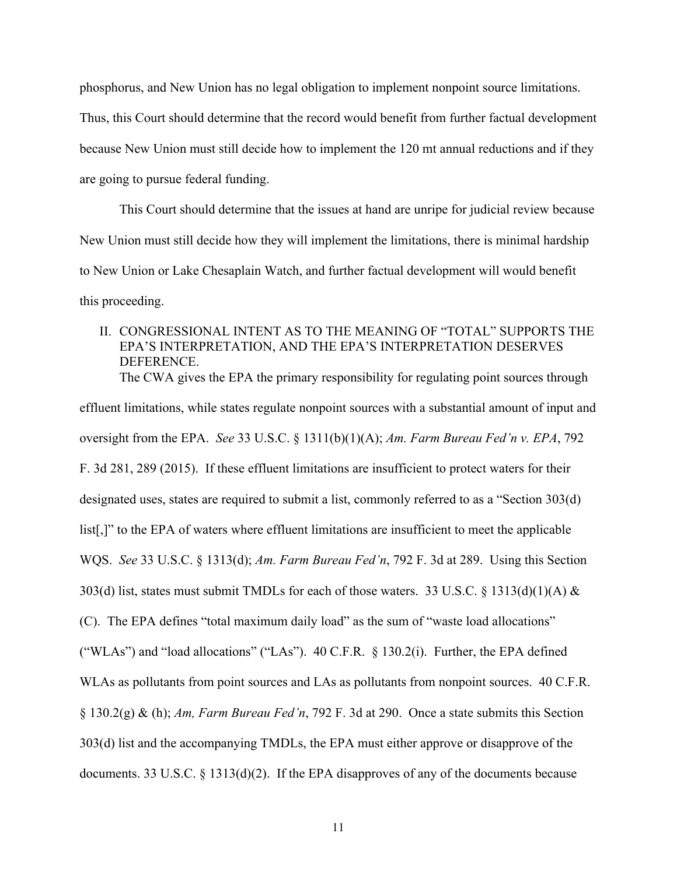phosphorus, and New Union has no legal obligation to implement nonpoint source limitations. Thus, this Court should determine that the record would benefit from further factual development because New Union must still decide how to implement the 120 mt annual reductions and if they are going to pursue federal funding.

This Court should determine that the issues at hand are unripe for judicial review because New Union must still decide how they will implement the limitations, there is minimal hardship to New Union or Lake Chesaplain Watch, and further factual development will would benefit this proceeding.

II. CONGRESSIONAL INTENT AS TO THE MEANING OF "TOTAL" SUPPORTS THE EPA'S INTERPRETATION, AND THE EPA'S INTERPRETATION DESERVES DEFERENCE. The CWA gives the EPA the primary responsibility for regulating point sources through

effluent limitations, while states regulate nonpoint sources with a substantial amount of input and oversight from the EPA. *See* 33 U.S.C. § 1311(b)(1)(A); *Am. Farm Bureau Fed'n v. EPA*, 792 F. 3d 281, 289 (2015). If these effluent limitations are insufficient to protect waters for their designated uses, states are required to submit a list, commonly referred to as a "Section 303(d) list[,]" to the EPA of waters where effluent limitations are insufficient to meet the applicable WQS. *See* 33 U.S.C. § 1313(d); *Am. Farm Bureau Fed'n*, 792 F. 3d at 289. Using this Section 303(d) list, states must submit TMDLs for each of those waters. 33 U.S.C. § 1313(d)(1)(A)  $\&$ (C). The EPA defines "total maximum daily load" as the sum of "waste load allocations" ("WLAs") and "load allocations" ("LAs"). 40 C.F.R. § 130.2(i). Further, the EPA defined WLAs as pollutants from point sources and LAs as pollutants from nonpoint sources. 40 C.F.R. § 130.2(g) & (h); *Am, Farm Bureau Fed'n*, 792 F. 3d at 290. Once a state submits this Section 303(d) list and the accompanying TMDLs, the EPA must either approve or disapprove of the documents. 33 U.S.C. § 1313(d)(2). If the EPA disapproves of any of the documents because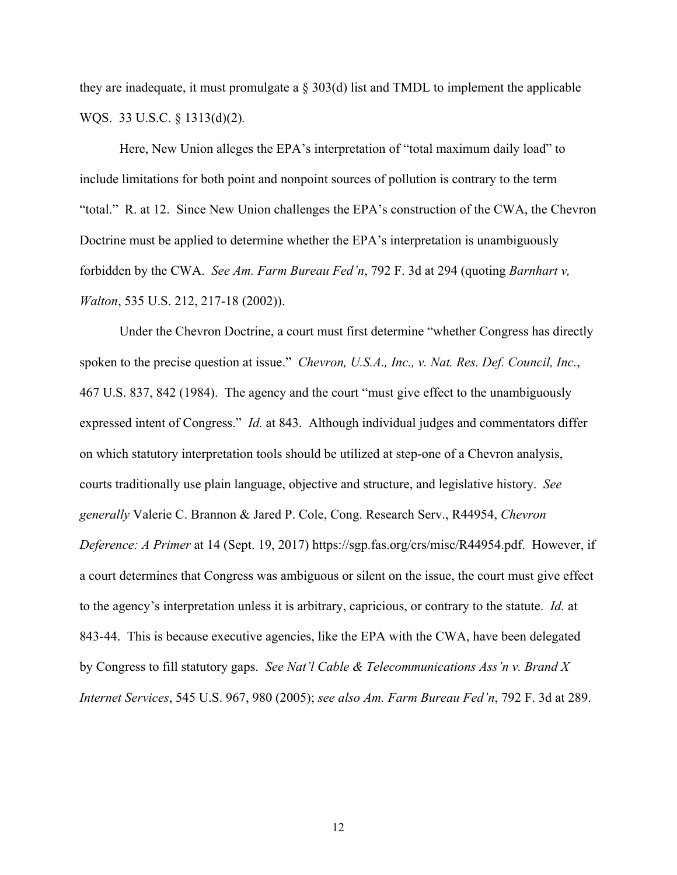they are inadequate, it must promulgate a § 303(d) list and TMDL to implement the applicable WQS. 33 U.S.C. § 1313(d)(2)*.*

Here, New Union alleges the EPA's interpretation of "total maximum daily load" to include limitations for both point and nonpoint sources of pollution is contrary to the term "total." R. at 12. Since New Union challenges the EPA's construction of the CWA, the Chevron Doctrine must be applied to determine whether the EPA's interpretation is unambiguously forbidden by the CWA. *See Am. Farm Bureau Fed'n*, 792 F. 3d at 294 (quoting *Barnhart v, Walton*, 535 U.S. 212, 217-18 (2002)).

Under the Chevron Doctrine, a court must first determine "whether Congress has directly spoken to the precise question at issue." *Chevron, U.S.A., Inc., v. Nat. Res. Def. Council, Inc.*, 467 U.S. 837, 842 (1984). The agency and the court "must give effect to the unambiguously expressed intent of Congress." *Id.* at 843. Although individual judges and commentators differ on which statutory interpretation tools should be utilized at step-one of a Chevron analysis, courts traditionally use plain language, objective and structure, and legislative history. *See generally* Valerie C. Brannon & Jared P. Cole, Cong. Research Serv., R44954, *Chevron Deference: A Primer* at 14 (Sept. 19, 2017) https://sgp.fas.org/crs/misc/R44954.pdf. However, if a court determines that Congress was ambiguous or silent on the issue, the court must give effect to the agency's interpretation unless it is arbitrary, capricious, or contrary to the statute. *Id.* at 843-44. This is because executive agencies, like the EPA with the CWA, have been delegated by Congress to fill statutory gaps. *See Nat'l Cable & Telecommunications Ass'n v. Brand X Internet Services*, 545 U.S. 967, 980 (2005); *see also Am. Farm Bureau Fed'n*, 792 F. 3d at 289.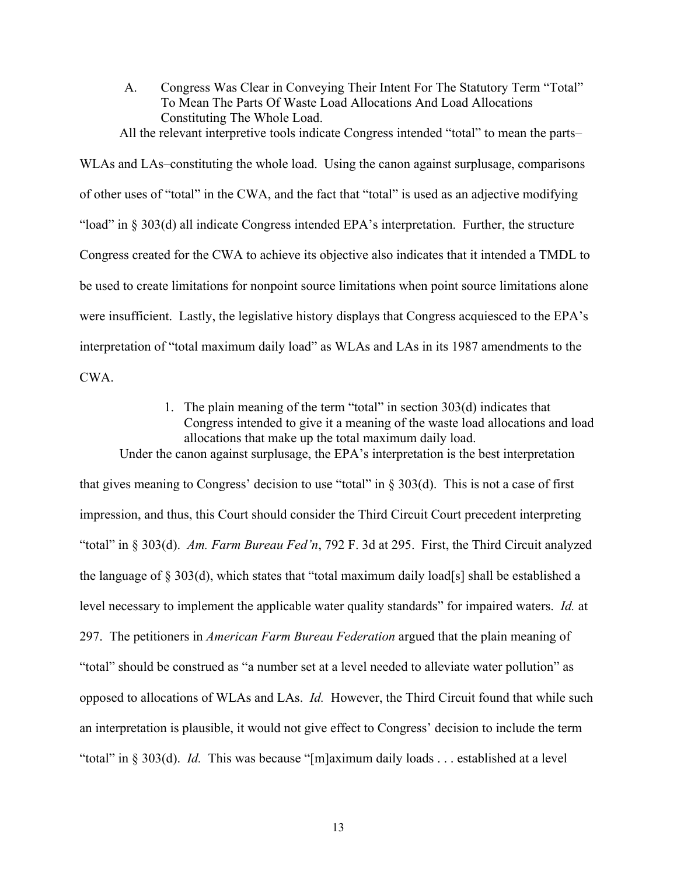A. Congress Was Clear in Conveying Their Intent For The Statutory Term "Total" To Mean The Parts Of Waste Load Allocations And Load Allocations Constituting The Whole Load.

All the relevant interpretive tools indicate Congress intended "total" to mean the parts–

WLAs and LAs–constituting the whole load. Using the canon against surplusage, comparisons of other uses of "total" in the CWA, and the fact that "total" is used as an adjective modifying "load" in § 303(d) all indicate Congress intended EPA's interpretation. Further, the structure Congress created for the CWA to achieve its objective also indicates that it intended a TMDL to be used to create limitations for nonpoint source limitations when point source limitations alone were insufficient. Lastly, the legislative history displays that Congress acquiesced to the EPA's interpretation of "total maximum daily load" as WLAs and LAs in its 1987 amendments to the CWA.

> 1. The plain meaning of the term "total" in section 303(d) indicates that Congress intended to give it a meaning of the waste load allocations and load allocations that make up the total maximum daily load.

Under the canon against surplusage, the EPA's interpretation is the best interpretation that gives meaning to Congress' decision to use "total" in  $\S 303(d)$ . This is not a case of first impression, and thus, this Court should consider the Third Circuit Court precedent interpreting "total" in § 303(d). *Am. Farm Bureau Fed'n*, 792 F. 3d at 295. First, the Third Circuit analyzed the language of § 303(d), which states that "total maximum daily load[s] shall be established a level necessary to implement the applicable water quality standards" for impaired waters. *Id.* at 297. The petitioners in *American Farm Bureau Federation* argued that the plain meaning of "total" should be construed as "a number set at a level needed to alleviate water pollution" as opposed to allocations of WLAs and LAs. *Id.* However, the Third Circuit found that while such an interpretation is plausible, it would not give effect to Congress' decision to include the term "total" in § 303(d). *Id.* This was because "[m]aximum daily loads . . . established at a level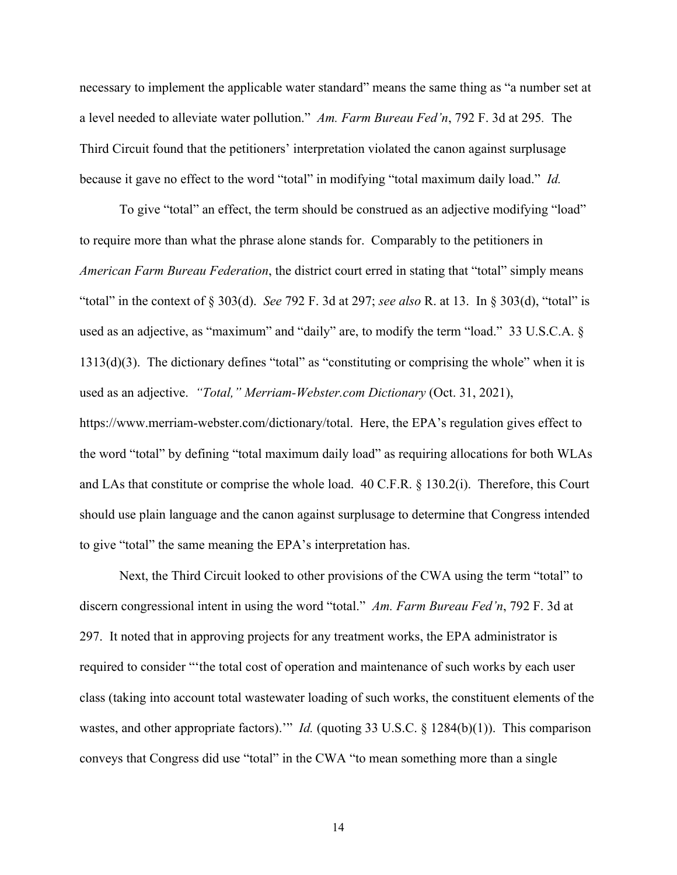necessary to implement the applicable water standard" means the same thing as "a number set at a level needed to alleviate water pollution." *Am. Farm Bureau Fed'n*, 792 F. 3d at 295*.* The Third Circuit found that the petitioners' interpretation violated the canon against surplusage because it gave no effect to the word "total" in modifying "total maximum daily load." *Id.*

To give "total" an effect, the term should be construed as an adjective modifying "load" to require more than what the phrase alone stands for. Comparably to the petitioners in *American Farm Bureau Federation*, the district court erred in stating that "total" simply means "total" in the context of § 303(d). *See* 792 F. 3d at 297; *see also* R. at 13. In § 303(d), "total" is used as an adjective, as "maximum" and "daily" are, to modify the term "load." 33 U.S.C.A. § 1313(d)(3). The dictionary defines "total" as "constituting or comprising the whole" when it is used as an adjective. *"Total," Merriam-Webster.com Dictionary* (Oct. 31, 2021),

https://www.merriam-webster.com/dictionary/total. Here, the EPA's regulation gives effect to the word "total" by defining "total maximum daily load" as requiring allocations for both WLAs and LAs that constitute or comprise the whole load. 40 C.F.R. § 130.2(i). Therefore, this Court should use plain language and the canon against surplusage to determine that Congress intended to give "total" the same meaning the EPA's interpretation has.

Next, the Third Circuit looked to other provisions of the CWA using the term "total" to discern congressional intent in using the word "total." *Am. Farm Bureau Fed'n*, 792 F. 3d at 297. It noted that in approving projects for any treatment works, the EPA administrator is required to consider "'the total cost of operation and maintenance of such works by each user class (taking into account total wastewater loading of such works, the constituent elements of the wastes, and other appropriate factors).'" *Id.* (quoting 33 U.S.C. § 1284(b)(1)). This comparison conveys that Congress did use "total" in the CWA "to mean something more than a single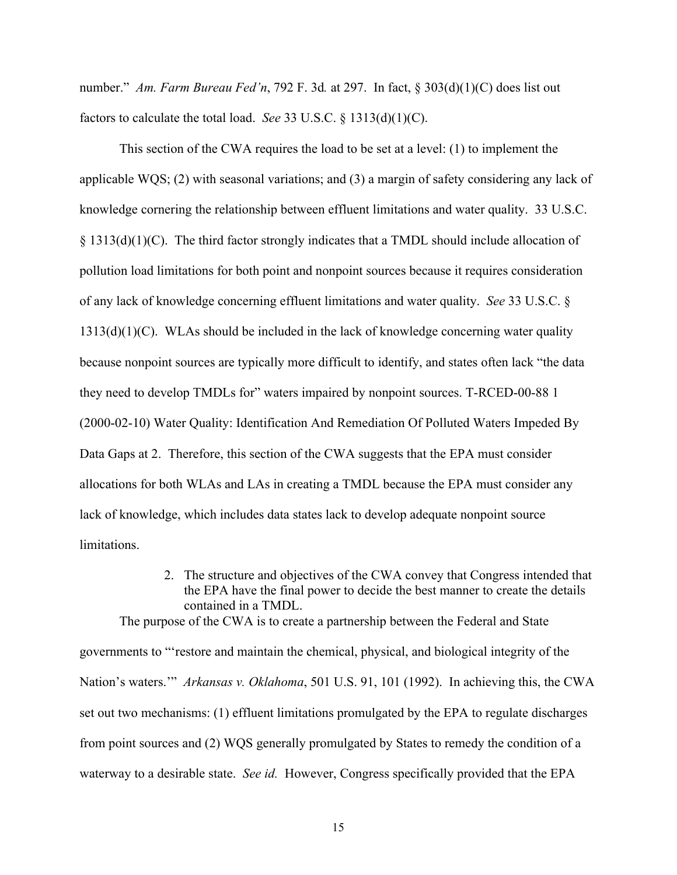number." *Am. Farm Bureau Fed'n*, 792 F. 3d*.* at 297. In fact, § 303(d)(1)(C) does list out factors to calculate the total load. *See* 33 U.S.C. § 1313(d)(1)(C).

This section of the CWA requires the load to be set at a level: (1) to implement the applicable WQS; (2) with seasonal variations; and (3) a margin of safety considering any lack of knowledge cornering the relationship between effluent limitations and water quality. 33 U.S.C. § 1313(d)(1)(C). The third factor strongly indicates that a TMDL should include allocation of pollution load limitations for both point and nonpoint sources because it requires consideration of any lack of knowledge concerning effluent limitations and water quality. *See* 33 U.S.C. §  $1313(d)(1)(C)$ . WLAs should be included in the lack of knowledge concerning water quality because nonpoint sources are typically more difficult to identify, and states often lack "the data they need to develop TMDLs for" waters impaired by nonpoint sources. T-RCED-00-88 1 (2000-02-10) Water Quality: Identification And Remediation Of Polluted Waters Impeded By Data Gaps at 2. Therefore, this section of the CWA suggests that the EPA must consider allocations for both WLAs and LAs in creating a TMDL because the EPA must consider any lack of knowledge, which includes data states lack to develop adequate nonpoint source limitations.

> 2. The structure and objectives of the CWA convey that Congress intended that the EPA have the final power to decide the best manner to create the details contained in a TMDL.

The purpose of the CWA is to create a partnership between the Federal and State governments to "'restore and maintain the chemical, physical, and biological integrity of the Nation's waters.'" *Arkansas v. Oklahoma*, 501 U.S. 91, 101 (1992). In achieving this, the CWA set out two mechanisms: (1) effluent limitations promulgated by the EPA to regulate discharges from point sources and (2) WQS generally promulgated by States to remedy the condition of a waterway to a desirable state. *See id.* However, Congress specifically provided that the EPA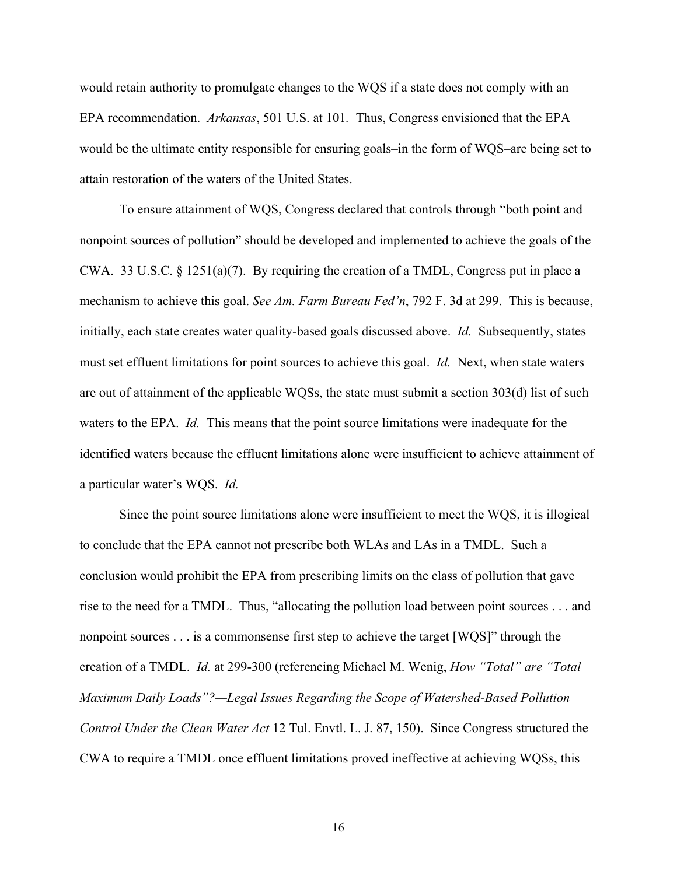would retain authority to promulgate changes to the WQS if a state does not comply with an EPA recommendation. *Arkansas*, 501 U.S. at 101*.* Thus, Congress envisioned that the EPA would be the ultimate entity responsible for ensuring goals–in the form of WQS–are being set to attain restoration of the waters of the United States.

To ensure attainment of WQS, Congress declared that controls through "both point and nonpoint sources of pollution" should be developed and implemented to achieve the goals of the CWA. 33 U.S.C.  $\S$  1251(a)(7). By requiring the creation of a TMDL, Congress put in place a mechanism to achieve this goal. *See Am. Farm Bureau Fed'n*, 792 F. 3d at 299. This is because, initially, each state creates water quality-based goals discussed above. *Id.* Subsequently, states must set effluent limitations for point sources to achieve this goal. *Id.* Next, when state waters are out of attainment of the applicable WQSs, the state must submit a section 303(d) list of such waters to the EPA. *Id.* This means that the point source limitations were inadequate for the identified waters because the effluent limitations alone were insufficient to achieve attainment of a particular water's WQS. *Id.*

Since the point source limitations alone were insufficient to meet the WQS, it is illogical to conclude that the EPA cannot not prescribe both WLAs and LAs in a TMDL. Such a conclusion would prohibit the EPA from prescribing limits on the class of pollution that gave rise to the need for a TMDL. Thus, "allocating the pollution load between point sources . . . and nonpoint sources . . . is a commonsense first step to achieve the target [WQS]" through the creation of a TMDL. *Id.* at 299-300 (referencing Michael M. Wenig, *How "Total" are "Total Maximum Daily Loads"?—Legal Issues Regarding the Scope of Watershed-Based Pollution Control Under the Clean Water Act* 12 Tul. Envtl. L. J. 87, 150). Since Congress structured the CWA to require a TMDL once effluent limitations proved ineffective at achieving WQSs, this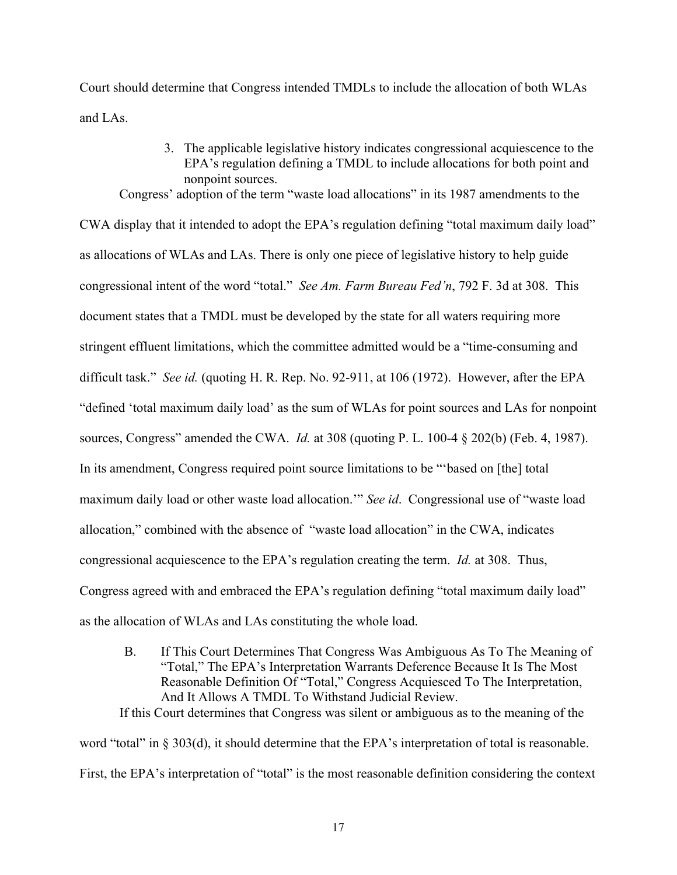Court should determine that Congress intended TMDLs to include the allocation of both WLAs and LAs.

3. The applicable legislative history indicates congressional acquiescence to the EPA's regulation defining a TMDL to include allocations for both point and nonpoint sources. Congress' adoption of the term "waste load allocations" in its 1987 amendments to the

CWA display that it intended to adopt the EPA's regulation defining "total maximum daily load" as allocations of WLAs and LAs. There is only one piece of legislative history to help guide congressional intent of the word "total." *See Am. Farm Bureau Fed'n*, 792 F. 3d at 308. This document states that a TMDL must be developed by the state for all waters requiring more stringent effluent limitations, which the committee admitted would be a "time-consuming and difficult task." *See id.* (quoting H. R. Rep. No. 92-911, at 106 (1972). However, after the EPA "defined 'total maximum daily load' as the sum of WLAs for point sources and LAs for nonpoint sources, Congress" amended the CWA. *Id.* at 308 (quoting P. L. 100-4 § 202(b) (Feb. 4, 1987). In its amendment, Congress required point source limitations to be "'based on [the] total maximum daily load or other waste load allocation.'" *See id*. Congressional use of "waste load allocation," combined with the absence of "waste load allocation" in the CWA, indicates congressional acquiescence to the EPA's regulation creating the term. *Id.* at 308. Thus, Congress agreed with and embraced the EPA's regulation defining "total maximum daily load" as the allocation of WLAs and LAs constituting the whole load.

B. If This Court Determines That Congress Was Ambiguous As To The Meaning of "Total," The EPA's Interpretation Warrants Deference Because It Is The Most Reasonable Definition Of "Total," Congress Acquiesced To The Interpretation, And It Allows A TMDL To Withstand Judicial Review. If this Court determines that Congress was silent or ambiguous as to the meaning of the

word "total" in § 303(d), it should determine that the EPA's interpretation of total is reasonable. First, the EPA's interpretation of "total" is the most reasonable definition considering the context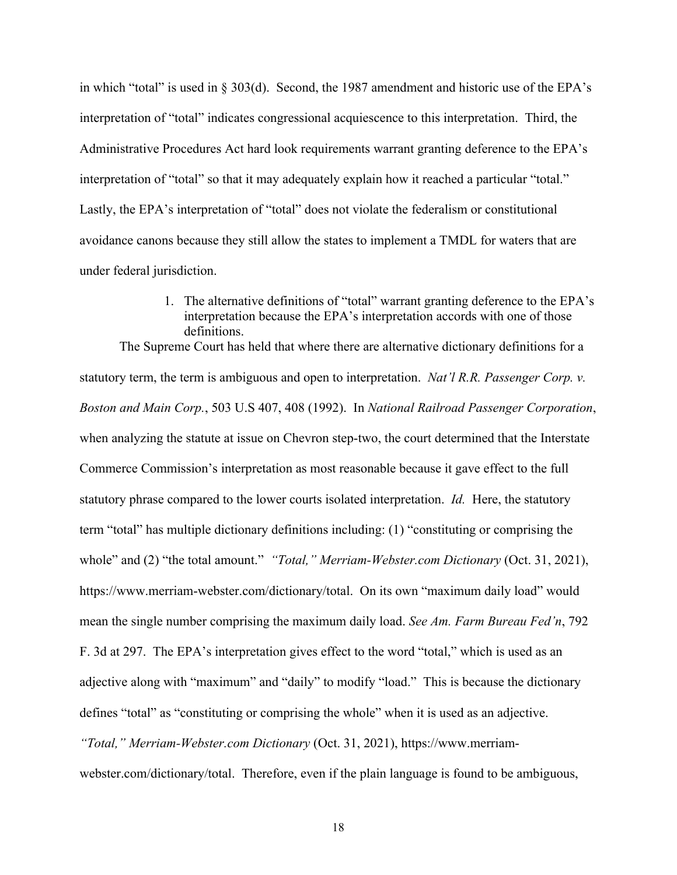in which "total" is used in § 303(d). Second, the 1987 amendment and historic use of the EPA's interpretation of "total" indicates congressional acquiescence to this interpretation. Third, the Administrative Procedures Act hard look requirements warrant granting deference to the EPA's interpretation of "total" so that it may adequately explain how it reached a particular "total." Lastly, the EPA's interpretation of "total" does not violate the federalism or constitutional avoidance canons because they still allow the states to implement a TMDL for waters that are under federal jurisdiction.

> 1. The alternative definitions of "total" warrant granting deference to the EPA's interpretation because the EPA's interpretation accords with one of those definitions.

The Supreme Court has held that where there are alternative dictionary definitions for a statutory term, the term is ambiguous and open to interpretation. *Nat'l R.R. Passenger Corp. v. Boston and Main Corp.*, 503 U.S 407, 408 (1992). In *National Railroad Passenger Corporation*, when analyzing the statute at issue on Chevron step-two, the court determined that the Interstate Commerce Commission's interpretation as most reasonable because it gave effect to the full statutory phrase compared to the lower courts isolated interpretation. *Id.* Here, the statutory term "total" has multiple dictionary definitions including: (1) "constituting or comprising the whole" and (2) "the total amount." *"Total," Merriam-Webster.com Dictionary* (Oct. 31, 2021), https://www.merriam-webster.com/dictionary/total. On its own "maximum daily load" would mean the single number comprising the maximum daily load. *See Am. Farm Bureau Fed'n*, 792 F. 3d at 297. The EPA's interpretation gives effect to the word "total," which is used as an adjective along with "maximum" and "daily" to modify "load." This is because the dictionary defines "total" as "constituting or comprising the whole" when it is used as an adjective. *"Total," Merriam-Webster.com Dictionary* (Oct. 31, 2021), https://www.merriamwebster.com/dictionary/total. Therefore, even if the plain language is found to be ambiguous,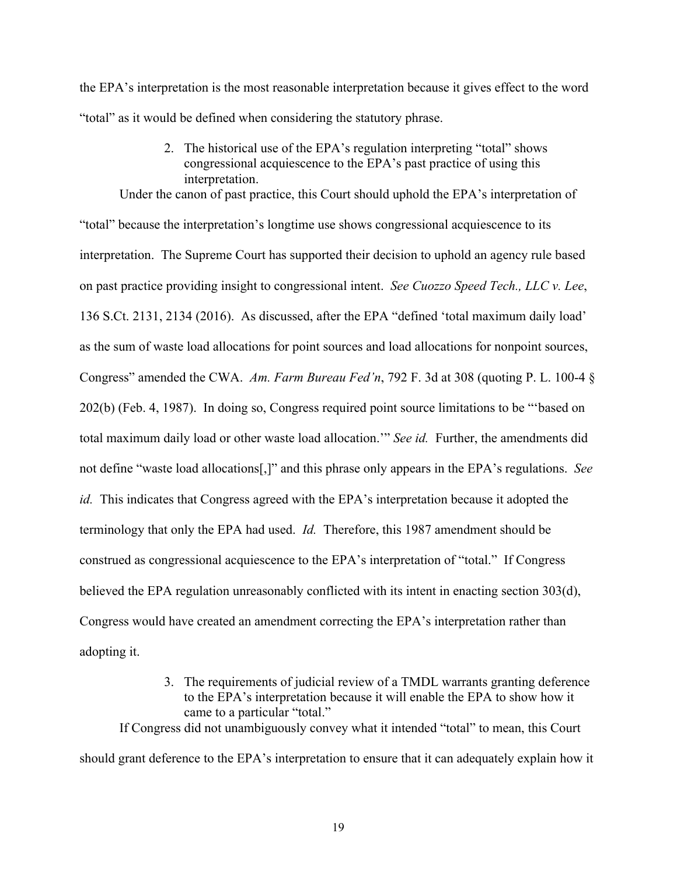the EPA's interpretation is the most reasonable interpretation because it gives effect to the word "total" as it would be defined when considering the statutory phrase.

> 2. The historical use of the EPA's regulation interpreting "total" shows congressional acquiescence to the EPA's past practice of using this interpretation.

Under the canon of past practice, this Court should uphold the EPA's interpretation of "total" because the interpretation's longtime use shows congressional acquiescence to its interpretation. The Supreme Court has supported their decision to uphold an agency rule based on past practice providing insight to congressional intent. *See Cuozzo Speed Tech., LLC v. Lee*, 136 S.Ct. 2131, 2134 (2016). As discussed, after the EPA "defined 'total maximum daily load' as the sum of waste load allocations for point sources and load allocations for nonpoint sources, Congress" amended the CWA. *Am. Farm Bureau Fed'n*, 792 F. 3d at 308 (quoting P. L. 100-4 § 202(b) (Feb. 4, 1987). In doing so, Congress required point source limitations to be "'based on total maximum daily load or other waste load allocation.'" *See id.* Further, the amendments did not define "waste load allocations[,]" and this phrase only appears in the EPA's regulations. *See id.* This indicates that Congress agreed with the EPA's interpretation because it adopted the terminology that only the EPA had used. *Id.* Therefore, this 1987 amendment should be construed as congressional acquiescence to the EPA's interpretation of "total." If Congress believed the EPA regulation unreasonably conflicted with its intent in enacting section 303(d), Congress would have created an amendment correcting the EPA's interpretation rather than adopting it.

> 3. The requirements of judicial review of a TMDL warrants granting deference to the EPA's interpretation because it will enable the EPA to show how it came to a particular "total."

If Congress did not unambiguously convey what it intended "total" to mean, this Court should grant deference to the EPA's interpretation to ensure that it can adequately explain how it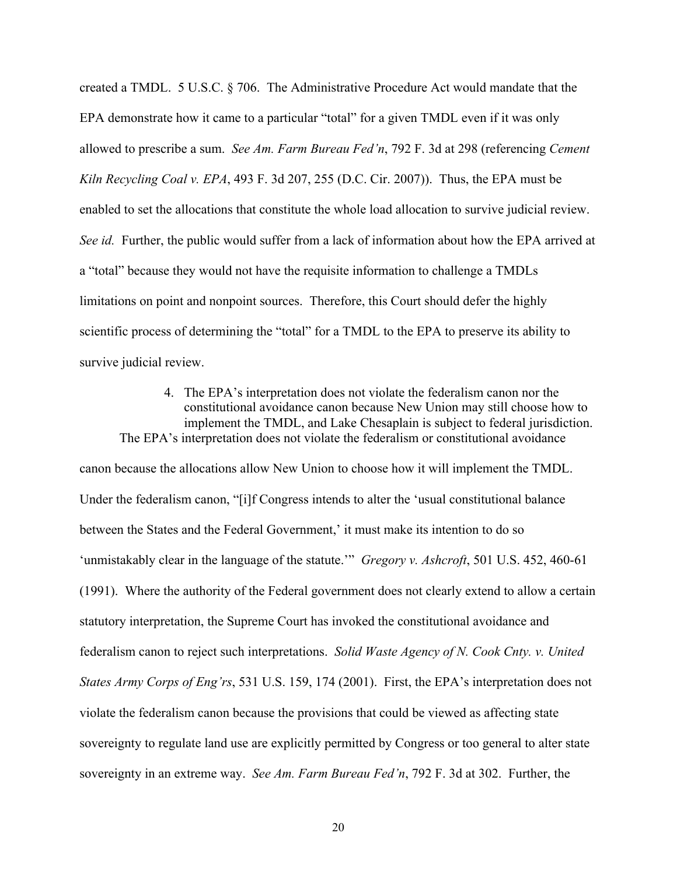created a TMDL. 5 U.S.C. § 706. The Administrative Procedure Act would mandate that the EPA demonstrate how it came to a particular "total" for a given TMDL even if it was only allowed to prescribe a sum. *See Am. Farm Bureau Fed'n*, 792 F. 3d at 298 (referencing *Cement Kiln Recycling Coal v. EPA*, 493 F. 3d 207, 255 (D.C. Cir. 2007)). Thus, the EPA must be enabled to set the allocations that constitute the whole load allocation to survive judicial review. *See id.* Further, the public would suffer from a lack of information about how the EPA arrived at a "total" because they would not have the requisite information to challenge a TMDLs limitations on point and nonpoint sources. Therefore, this Court should defer the highly scientific process of determining the "total" for a TMDL to the EPA to preserve its ability to survive judicial review.

4. The EPA's interpretation does not violate the federalism canon nor the constitutional avoidance canon because New Union may still choose how to implement the TMDL, and Lake Chesaplain is subject to federal jurisdiction. The EPA's interpretation does not violate the federalism or constitutional avoidance

canon because the allocations allow New Union to choose how it will implement the TMDL. Under the federalism canon, "[i]f Congress intends to alter the 'usual constitutional balance between the States and the Federal Government,' it must make its intention to do so 'unmistakably clear in the language of the statute.'" *Gregory v. Ashcroft*, 501 U.S. 452, 460-61 (1991). Where the authority of the Federal government does not clearly extend to allow a certain statutory interpretation, the Supreme Court has invoked the constitutional avoidance and federalism canon to reject such interpretations. *Solid Waste Agency of N. Cook Cnty. v. United States Army Corps of Eng'rs*, 531 U.S. 159, 174 (2001). First, the EPA's interpretation does not violate the federalism canon because the provisions that could be viewed as affecting state sovereignty to regulate land use are explicitly permitted by Congress or too general to alter state sovereignty in an extreme way. *See Am. Farm Bureau Fed'n*, 792 F. 3d at 302. Further, the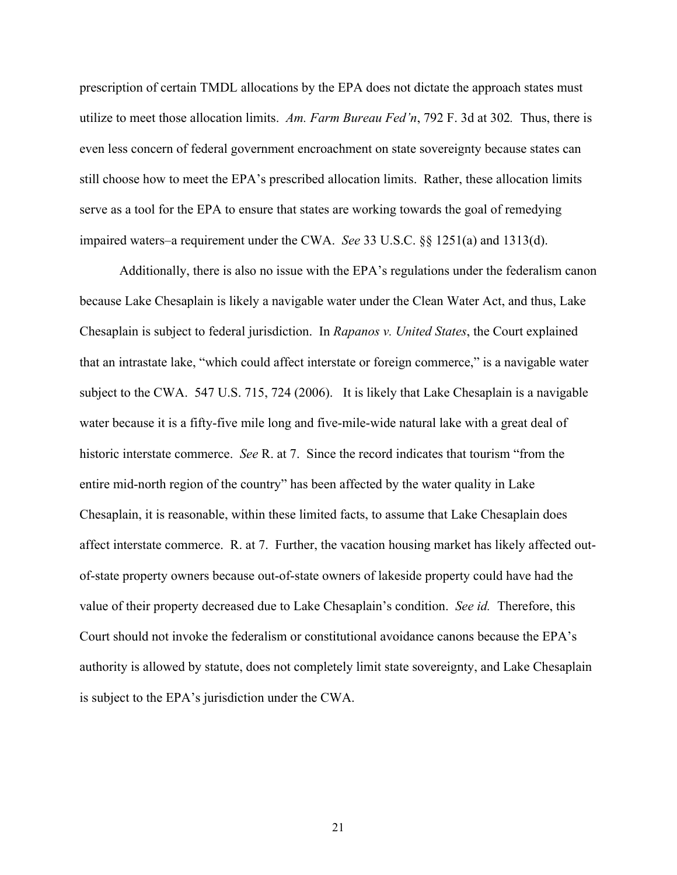prescription of certain TMDL allocations by the EPA does not dictate the approach states must utilize to meet those allocation limits. *Am. Farm Bureau Fed'n*, 792 F. 3d at 302*.* Thus, there is even less concern of federal government encroachment on state sovereignty because states can still choose how to meet the EPA's prescribed allocation limits. Rather, these allocation limits serve as a tool for the EPA to ensure that states are working towards the goal of remedying impaired waters–a requirement under the CWA. *See* 33 U.S.C. §§ 1251(a) and 1313(d).

Additionally, there is also no issue with the EPA's regulations under the federalism canon because Lake Chesaplain is likely a navigable water under the Clean Water Act, and thus, Lake Chesaplain is subject to federal jurisdiction. In *Rapanos v. United States*, the Court explained that an intrastate lake, "which could affect interstate or foreign commerce," is a navigable water subject to the CWA. 547 U.S. 715, 724 (2006). It is likely that Lake Chesaplain is a navigable water because it is a fifty-five mile long and five-mile-wide natural lake with a great deal of historic interstate commerce. *See* R. at 7. Since the record indicates that tourism "from the entire mid-north region of the country" has been affected by the water quality in Lake Chesaplain, it is reasonable, within these limited facts, to assume that Lake Chesaplain does affect interstate commerce. R. at 7. Further, the vacation housing market has likely affected outof-state property owners because out-of-state owners of lakeside property could have had the value of their property decreased due to Lake Chesaplain's condition. *See id.* Therefore, this Court should not invoke the federalism or constitutional avoidance canons because the EPA's authority is allowed by statute, does not completely limit state sovereignty, and Lake Chesaplain is subject to the EPA's jurisdiction under the CWA.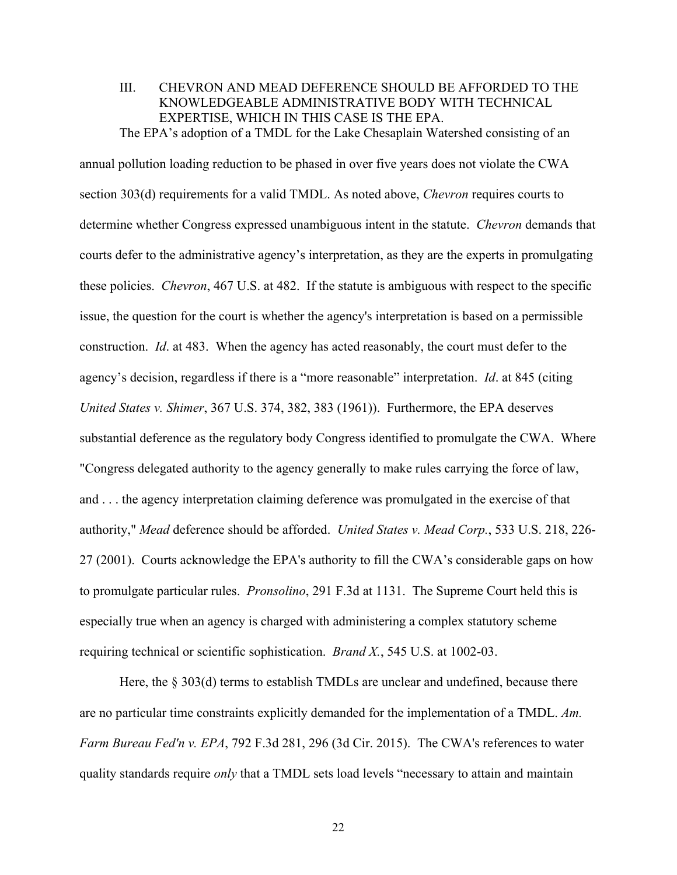III. CHEVRON AND MEAD DEFERENCE SHOULD BE AFFORDED TO THE KNOWLEDGEABLE ADMINISTRATIVE BODY WITH TECHNICAL EXPERTISE, WHICH IN THIS CASE IS THE EPA. The EPA's adoption of a TMDL for the Lake Chesaplain Watershed consisting of an

annual pollution loading reduction to be phased in over five years does not violate the CWA section 303(d) requirements for a valid TMDL. As noted above, *Chevron* requires courts to determine whether Congress expressed unambiguous intent in the statute. *Chevron* demands that courts defer to the administrative agency's interpretation, as they are the experts in promulgating these policies. *Chevron*, 467 U.S. at 482. If the statute is ambiguous with respect to the specific issue, the question for the court is whether the agency's interpretation is based on a permissible construction. *Id*. at 483. When the agency has acted reasonably, the court must defer to the agency's decision, regardless if there is a "more reasonable" interpretation. *Id*. at 845 (citing *United States v. Shimer*, 367 U.S. 374, 382, 383 (1961)). Furthermore, the EPA deserves substantial deference as the regulatory body Congress identified to promulgate the CWA. Where "Congress delegated authority to the agency generally to make rules carrying the force of law, and . . . the agency interpretation claiming deference was promulgated in the exercise of that authority," *Mead* deference should be afforded. *United States v. Mead Corp.*, 533 U.S. 218, 226- 27 (2001). Courts acknowledge the EPA's authority to fill the CWA's considerable gaps on how to promulgate particular rules. *Pronsolino*, 291 F.3d at 1131. The Supreme Court held this is especially true when an agency is charged with administering a complex statutory scheme requiring technical or scientific sophistication. *Brand X.*, 545 U.S. at 1002-03.

Here, the § 303(d) terms to establish TMDLs are unclear and undefined, because there are no particular time constraints explicitly demanded for the implementation of a TMDL. *Am. Farm Bureau Fed'n v. EPA*, 792 F.3d 281, 296 (3d Cir. 2015). The CWA's references to water quality standards require *only* that a TMDL sets load levels "necessary to attain and maintain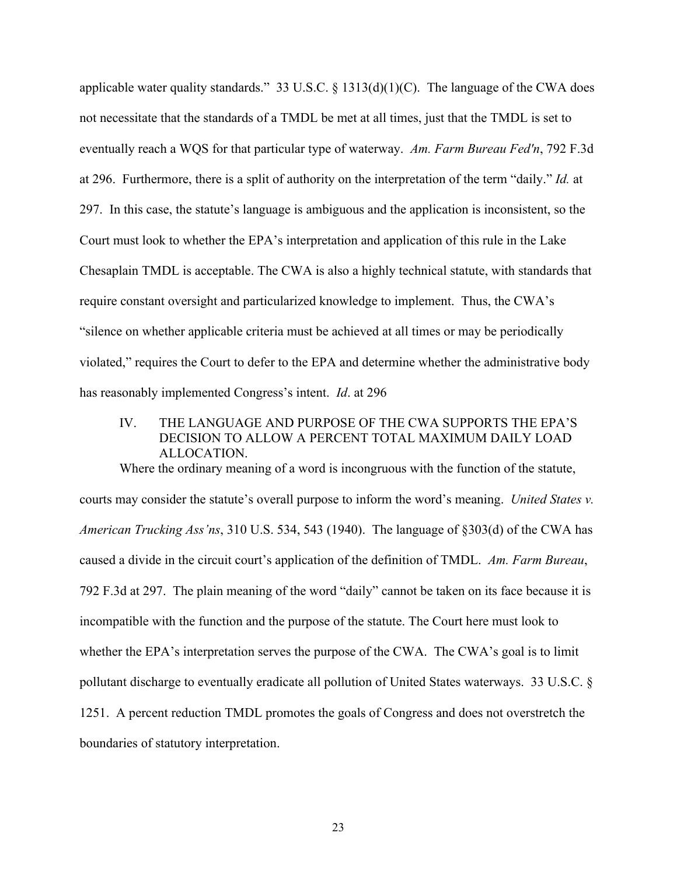applicable water quality standards." 33 U.S.C. § 1313(d)(1)(C). The language of the CWA does not necessitate that the standards of a TMDL be met at all times, just that the TMDL is set to eventually reach a WQS for that particular type of waterway. *Am. Farm Bureau Fed'n*, 792 F.3d at 296. Furthermore, there is a split of authority on the interpretation of the term "daily." *Id.* at 297. In this case, the statute's language is ambiguous and the application is inconsistent, so the Court must look to whether the EPA's interpretation and application of this rule in the Lake Chesaplain TMDL is acceptable. The CWA is also a highly technical statute, with standards that require constant oversight and particularized knowledge to implement. Thus, the CWA's "silence on whether applicable criteria must be achieved at all times or may be periodically violated," requires the Court to defer to the EPA and determine whether the administrative body has reasonably implemented Congress's intent. *Id*. at 296

# IV. THE LANGUAGE AND PURPOSE OF THE CWA SUPPORTS THE EPA'S DECISION TO ALLOW A PERCENT TOTAL MAXIMUM DAILY LOAD ALLOCATION.

Where the ordinary meaning of a word is incongruous with the function of the statute, courts may consider the statute's overall purpose to inform the word's meaning. *United States v. American Trucking Ass'ns*, 310 U.S. 534, 543 (1940). The language of §303(d) of the CWA has caused a divide in the circuit court's application of the definition of TMDL. *Am. Farm Bureau*, 792 F.3d at 297. The plain meaning of the word "daily" cannot be taken on its face because it is incompatible with the function and the purpose of the statute. The Court here must look to whether the EPA's interpretation serves the purpose of the CWA. The CWA's goal is to limit pollutant discharge to eventually eradicate all pollution of United States waterways. 33 U.S.C. § 1251. A percent reduction TMDL promotes the goals of Congress and does not overstretch the boundaries of statutory interpretation.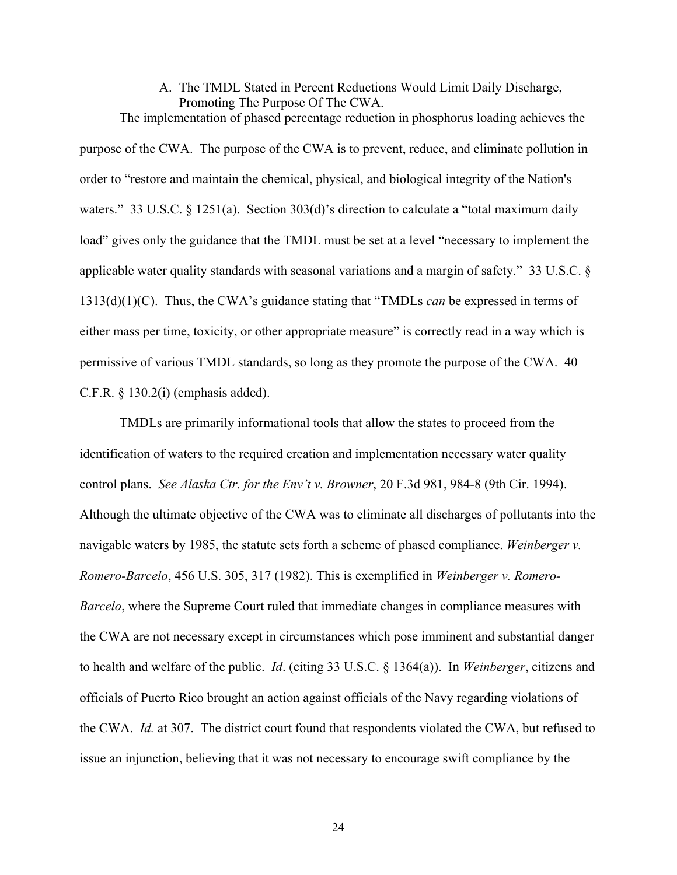A. The TMDL Stated in Percent Reductions Would Limit Daily Discharge, Promoting The Purpose Of The CWA.

The implementation of phased percentage reduction in phosphorus loading achieves the purpose of the CWA. The purpose of the CWA is to prevent, reduce, and eliminate pollution in order to "restore and maintain the chemical, physical, and biological integrity of the Nation's waters." 33 U.S.C. § 1251(a). Section 303(d)'s direction to calculate a "total maximum daily load" gives only the guidance that the TMDL must be set at a level "necessary to implement the applicable water quality standards with seasonal variations and a margin of safety." 33 U.S.C. § 1313(d)(1)(C). Thus, the CWA's guidance stating that "TMDLs *can* be expressed in terms of either mass per time, toxicity, or other appropriate measure" is correctly read in a way which is permissive of various TMDL standards, so long as they promote the purpose of the CWA. 40 C.F.R. § 130.2(i) (emphasis added).

TMDLs are primarily informational tools that allow the states to proceed from the identification of waters to the required creation and implementation necessary water quality control plans. *See Alaska Ctr. for the Env't v. Browner*, 20 F.3d 981, 984-8 (9th Cir. 1994). Although the ultimate objective of the CWA was to eliminate all discharges of pollutants into the navigable waters by 1985, the statute sets forth a scheme of phased compliance. *Weinberger v. Romero-Barcelo*, 456 U.S. 305, 317 (1982). This is exemplified in *Weinberger v. Romero-Barcelo*, where the Supreme Court ruled that immediate changes in compliance measures with the CWA are not necessary except in circumstances which pose imminent and substantial danger to health and welfare of the public. *Id*. (citing 33 U.S.C. § 1364(a)). In *Weinberger*, citizens and officials of Puerto Rico brought an action against officials of the Navy regarding violations of the CWA. *Id.* at 307. The district court found that respondents violated the CWA, but refused to issue an injunction, believing that it was not necessary to encourage swift compliance by the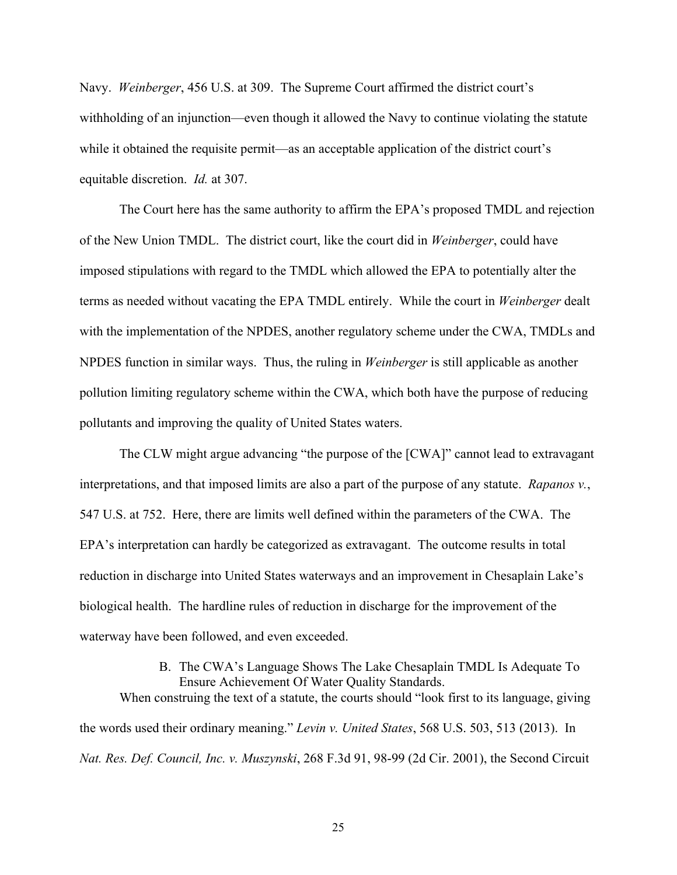Navy. *Weinberger*, 456 U.S. at 309. The Supreme Court affirmed the district court's withholding of an injunction—even though it allowed the Navy to continue violating the statute while it obtained the requisite permit—as an acceptable application of the district court's equitable discretion. *Id.* at 307.

The Court here has the same authority to affirm the EPA's proposed TMDL and rejection of the New Union TMDL. The district court, like the court did in *Weinberger*, could have imposed stipulations with regard to the TMDL which allowed the EPA to potentially alter the terms as needed without vacating the EPA TMDL entirely. While the court in *Weinberger* dealt with the implementation of the NPDES, another regulatory scheme under the CWA, TMDLs and NPDES function in similar ways. Thus, the ruling in *Weinberger* is still applicable as another pollution limiting regulatory scheme within the CWA, which both have the purpose of reducing pollutants and improving the quality of United States waters.

The CLW might argue advancing "the purpose of the [CWA]" cannot lead to extravagant interpretations, and that imposed limits are also a part of the purpose of any statute. *Rapanos v.*, 547 U.S. at 752. Here, there are limits well defined within the parameters of the CWA. The EPA's interpretation can hardly be categorized as extravagant. The outcome results in total reduction in discharge into United States waterways and an improvement in Chesaplain Lake's biological health. The hardline rules of reduction in discharge for the improvement of the waterway have been followed, and even exceeded.

# B. The CWA's Language Shows The Lake Chesaplain TMDL Is Adequate To Ensure Achievement Of Water Quality Standards. When construing the text of a statute, the courts should "look first to its language, giving the words used their ordinary meaning." *Levin v. United States*, 568 U.S. 503, 513 (2013). In

*Nat. Res. Def. Council, Inc. v. Muszynski*, 268 F.3d 91, 98-99 (2d Cir. 2001), the Second Circuit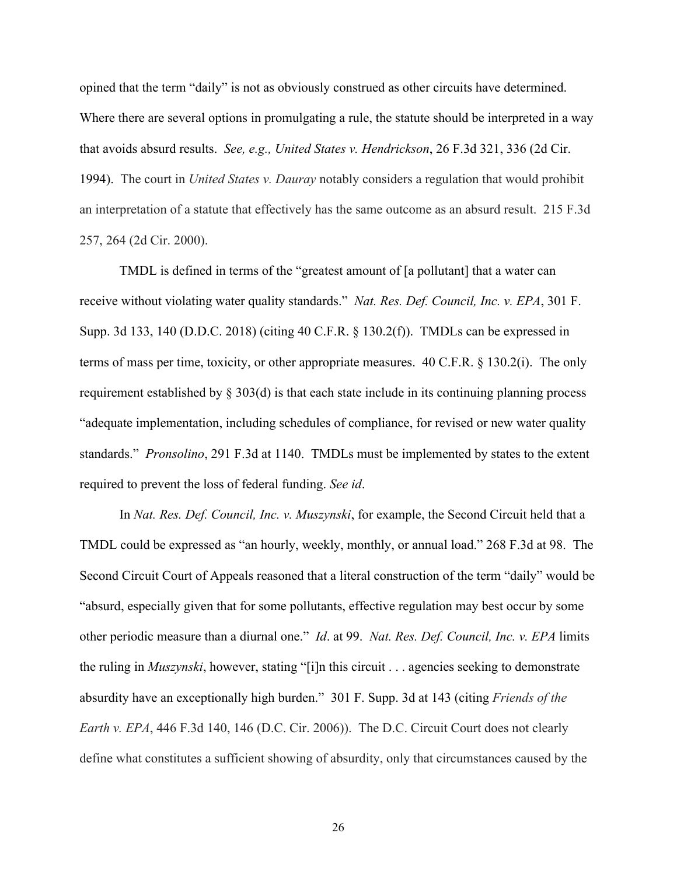opined that the term "daily" is not as obviously construed as other circuits have determined. Where there are several options in promulgating a rule, the statute should be interpreted in a way that avoids absurd results. *See, e.g., United States v. Hendrickson*, 26 F.3d 321, 336 (2d Cir. 1994). The court in *United States v. Dauray* notably considers a regulation that would prohibit an interpretation of a statute that effectively has the same outcome as an absurd result. 215 F.3d 257, 264 (2d Cir. 2000).

TMDL is defined in terms of the "greatest amount of [a pollutant] that a water can receive without violating water quality standards." *Nat. Res. Def. Council, Inc. v. EPA*, 301 F. Supp. 3d 133, 140 (D.D.C. 2018) (citing 40 C.F.R. § 130.2(f)). TMDLs can be expressed in terms of mass per time, toxicity, or other appropriate measures. 40 C.F.R. § 130.2(i). The only requirement established by § 303(d) is that each state include in its continuing planning process "adequate implementation, including schedules of compliance, for revised or new water quality standards." *Pronsolino*, 291 F.3d at 1140. TMDLs must be implemented by states to the extent required to prevent the loss of federal funding. *See id*.

In *Nat. Res. Def. Council, Inc. v. Muszynski*, for example, the Second Circuit held that a TMDL could be expressed as "an hourly, weekly, monthly, or annual load." 268 F.3d at 98. The Second Circuit Court of Appeals reasoned that a literal construction of the term "daily" would be "absurd, especially given that for some pollutants, effective regulation may best occur by some other periodic measure than a diurnal one." *Id*. at 99. *Nat. Res. Def. Council, Inc. v. EPA* limits the ruling in *Muszynski*, however, stating "[i]n this circuit . . . agencies seeking to demonstrate absurdity have an exceptionally high burden." 301 F. Supp. 3d at 143 (citing *Friends of the Earth v. EPA*, 446 F.3d 140, 146 (D.C. Cir. 2006)). The D.C. Circuit Court does not clearly define what constitutes a sufficient showing of absurdity, only that circumstances caused by the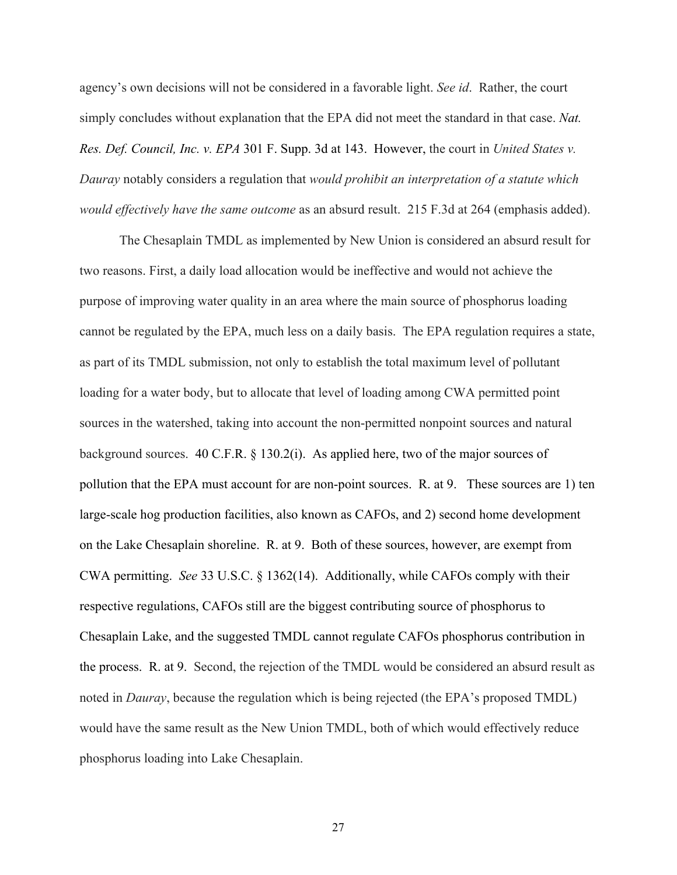agency's own decisions will not be considered in a favorable light. *See id*. Rather, the court simply concludes without explanation that the EPA did not meet the standard in that case. *Nat. Res. Def. Council, Inc. v. EPA* 301 F. Supp. 3d at 143. However, the court in *United States v. Dauray* notably considers a regulation that *would prohibit an interpretation of a statute which would effectively have the same outcome* as an absurd result. 215 F.3d at 264 (emphasis added).

The Chesaplain TMDL as implemented by New Union is considered an absurd result for two reasons. First, a daily load allocation would be ineffective and would not achieve the purpose of improving water quality in an area where the main source of phosphorus loading cannot be regulated by the EPA, much less on a daily basis. The EPA regulation requires a state, as part of its TMDL submission, not only to establish the total maximum level of pollutant loading for a water body, but to allocate that level of loading among CWA permitted point sources in the watershed, taking into account the non-permitted nonpoint sources and natural background sources. 40 C.F.R. § 130.2(i). As applied here, two of the major sources of pollution that the EPA must account for are non-point sources. R. at 9. These sources are 1) ten large-scale hog production facilities, also known as CAFOs, and 2) second home development on the Lake Chesaplain shoreline. R. at 9. Both of these sources, however, are exempt from CWA permitting. *See* 33 U.S.C. § 1362(14). Additionally, while CAFOs comply with their respective regulations, CAFOs still are the biggest contributing source of phosphorus to Chesaplain Lake, and the suggested TMDL cannot regulate CAFOs phosphorus contribution in the process. R. at 9. Second, the rejection of the TMDL would be considered an absurd result as noted in *Dauray*, because the regulation which is being rejected (the EPA's proposed TMDL) would have the same result as the New Union TMDL, both of which would effectively reduce phosphorus loading into Lake Chesaplain.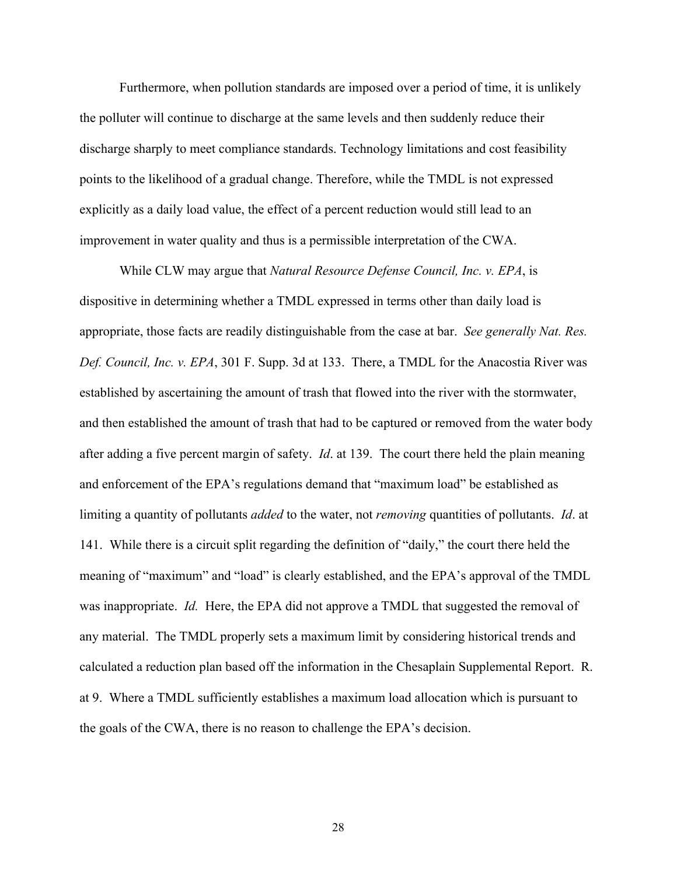Furthermore, when pollution standards are imposed over a period of time, it is unlikely the polluter will continue to discharge at the same levels and then suddenly reduce their discharge sharply to meet compliance standards. Technology limitations and cost feasibility points to the likelihood of a gradual change. Therefore, while the TMDL is not expressed explicitly as a daily load value, the effect of a percent reduction would still lead to an improvement in water quality and thus is a permissible interpretation of the CWA.

While CLW may argue that *Natural Resource Defense Council, Inc. v. EPA*, is dispositive in determining whether a TMDL expressed in terms other than daily load is appropriate, those facts are readily distinguishable from the case at bar. *See generally Nat. Res. Def. Council, Inc. v. EPA*, 301 F. Supp. 3d at 133. There, a TMDL for the Anacostia River was established by ascertaining the amount of trash that flowed into the river with the stormwater, and then established the amount of trash that had to be captured or removed from the water body after adding a five percent margin of safety. *Id*. at 139. The court there held the plain meaning and enforcement of the EPA's regulations demand that "maximum load" be established as limiting a quantity of pollutants *added* to the water, not *removing* quantities of pollutants. *Id*. at 141. While there is a circuit split regarding the definition of "daily," the court there held the meaning of "maximum" and "load" is clearly established, and the EPA's approval of the TMDL was inappropriate. *Id.* Here, the EPA did not approve a TMDL that suggested the removal of any material. The TMDL properly sets a maximum limit by considering historical trends and calculated a reduction plan based off the information in the Chesaplain Supplemental Report. R. at 9. Where a TMDL sufficiently establishes a maximum load allocation which is pursuant to the goals of the CWA, there is no reason to challenge the EPA's decision.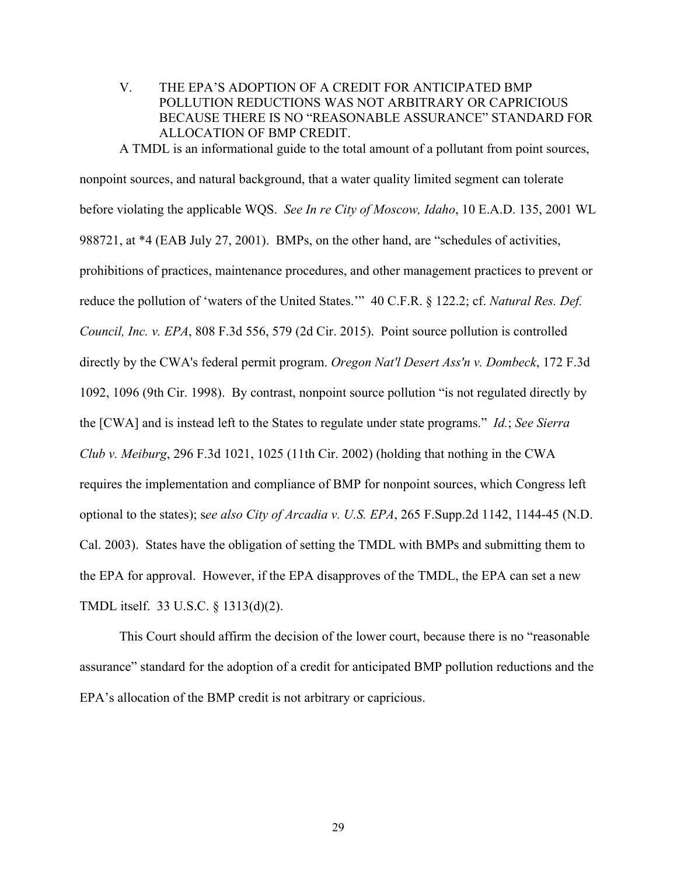V. THE EPA'S ADOPTION OF A CREDIT FOR ANTICIPATED BMP POLLUTION REDUCTIONS WAS NOT ARBITRARY OR CAPRICIOUS BECAUSE THERE IS NO "REASONABLE ASSURANCE" STANDARD FOR ALLOCATION OF BMP CREDIT.

A TMDL is an informational guide to the total amount of a pollutant from point sources, nonpoint sources, and natural background, that a water quality limited segment can tolerate before violating the applicable WQS. *See In re City of Moscow, Idaho*, 10 E.A.D. 135, 2001 WL 988721, at \*4 (EAB July 27, 2001). BMPs, on the other hand, are "schedules of activities, prohibitions of practices, maintenance procedures, and other management practices to prevent or reduce the pollution of 'waters of the United States.'" 40 C.F.R. § 122.2; cf. *Natural Res. Def. Council, Inc. v. EPA*, 808 F.3d 556, 579 (2d Cir. 2015). Point source pollution is controlled directly by the CWA's federal permit program. *Oregon Nat'l Desert Ass'n v. Dombeck*, 172 F.3d 1092, 1096 (9th Cir. 1998). By contrast, nonpoint source pollution "is not regulated directly by the [CWA] and is instead left to the States to regulate under state programs." *Id.*; *See Sierra Club v. Meiburg*, 296 F.3d 1021, 1025 (11th Cir. 2002) (holding that nothing in the CWA requires the implementation and compliance of BMP for nonpoint sources, which Congress left optional to the states); s*ee also City of Arcadia v. U.S. EPA*, 265 F.Supp.2d 1142, 1144-45 (N.D. Cal. 2003). States have the obligation of setting the TMDL with BMPs and submitting them to the EPA for approval. However, if the EPA disapproves of the TMDL, the EPA can set a new TMDL itself. 33 U.S.C. § 1313(d)(2).

This Court should affirm the decision of the lower court, because there is no "reasonable assurance" standard for the adoption of a credit for anticipated BMP pollution reductions and the EPA's allocation of the BMP credit is not arbitrary or capricious.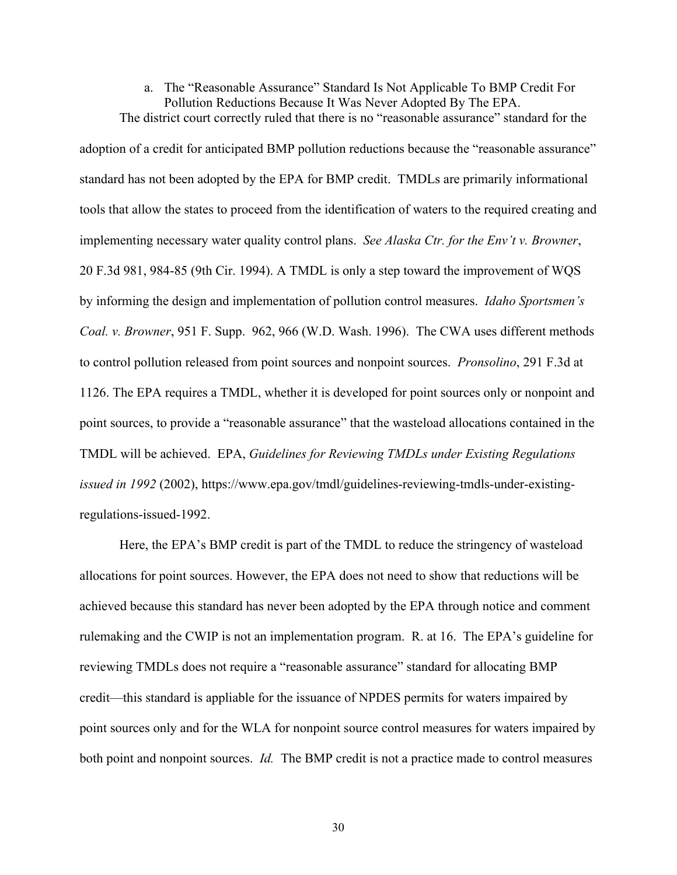# a. The "Reasonable Assurance" Standard Is Not Applicable To BMP Credit For Pollution Reductions Because It Was Never Adopted By The EPA.

The district court correctly ruled that there is no "reasonable assurance" standard for the adoption of a credit for anticipated BMP pollution reductions because the "reasonable assurance" standard has not been adopted by the EPA for BMP credit. TMDLs are primarily informational tools that allow the states to proceed from the identification of waters to the required creating and implementing necessary water quality control plans. *See Alaska Ctr. for the Env't v. Browner*, 20 F.3d 981, 984-85 (9th Cir. 1994). A TMDL is only a step toward the improvement of WQS by informing the design and implementation of pollution control measures. *Idaho Sportsmen's Coal. v. Browner*, 951 F. Supp. 962, 966 (W.D. Wash. 1996). The CWA uses different methods to control pollution released from point sources and nonpoint sources. *Pronsolino*, 291 F.3d at 1126. The EPA requires a TMDL, whether it is developed for point sources only or nonpoint and point sources, to provide a "reasonable assurance" that the wasteload allocations contained in the TMDL will be achieved. EPA, *Guidelines for Reviewing TMDLs under Existing Regulations issued in 1992* (2002), https://www.epa.gov/tmdl/guidelines-reviewing-tmdls-under-existingregulations-issued-1992.

Here, the EPA's BMP credit is part of the TMDL to reduce the stringency of wasteload allocations for point sources. However, the EPA does not need to show that reductions will be achieved because this standard has never been adopted by the EPA through notice and comment rulemaking and the CWIP is not an implementation program. R. at 16. The EPA's guideline for reviewing TMDLs does not require a "reasonable assurance" standard for allocating BMP credit—this standard is appliable for the issuance of NPDES permits for waters impaired by point sources only and for the WLA for nonpoint source control measures for waters impaired by both point and nonpoint sources. *Id.* The BMP credit is not a practice made to control measures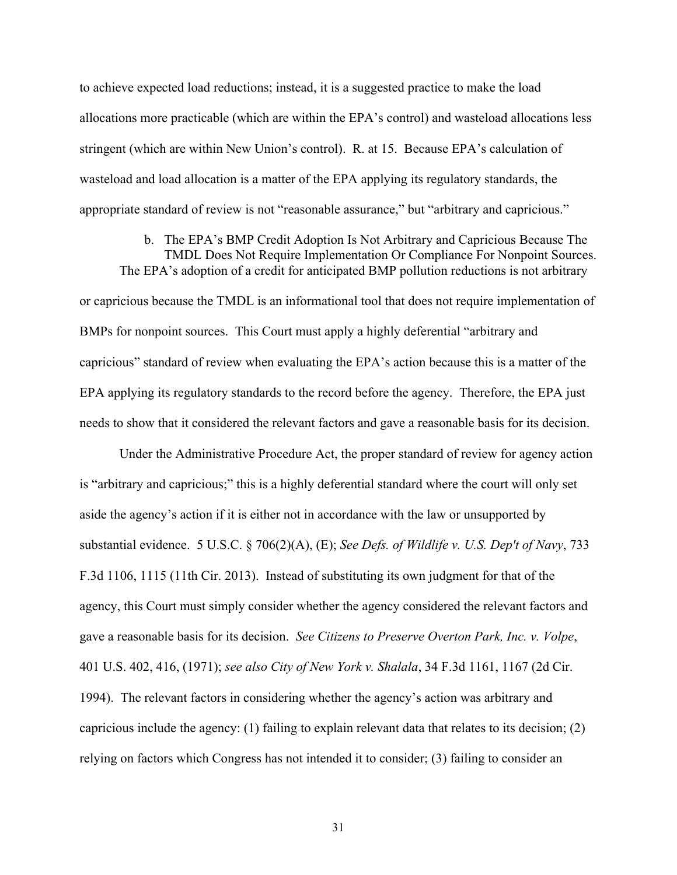to achieve expected load reductions; instead, it is a suggested practice to make the load allocations more practicable (which are within the EPA's control) and wasteload allocations less stringent (which are within New Union's control). R. at 15. Because EPA's calculation of wasteload and load allocation is a matter of the EPA applying its regulatory standards, the appropriate standard of review is not "reasonable assurance," but "arbitrary and capricious."

## b. The EPA's BMP Credit Adoption Is Not Arbitrary and Capricious Because The TMDL Does Not Require Implementation Or Compliance For Nonpoint Sources.

The EPA's adoption of a credit for anticipated BMP pollution reductions is not arbitrary or capricious because the TMDL is an informational tool that does not require implementation of BMPs for nonpoint sources. This Court must apply a highly deferential "arbitrary and capricious" standard of review when evaluating the EPA's action because this is a matter of the EPA applying its regulatory standards to the record before the agency. Therefore, the EPA just needs to show that it considered the relevant factors and gave a reasonable basis for its decision.

Under the Administrative Procedure Act, the proper standard of review for agency action is "arbitrary and capricious;" this is a highly deferential standard where the court will only set aside the agency's action if it is either not in accordance with the law or unsupported by substantial evidence. 5 U.S.C. § 706(2)(A), (E); *See Defs. of Wildlife v. U.S. Dep't of Navy*, 733 F.3d 1106, 1115 (11th Cir. 2013). Instead of substituting its own judgment for that of the agency, this Court must simply consider whether the agency considered the relevant factors and gave a reasonable basis for its decision. *See Citizens to Preserve Overton Park, Inc. v. Volpe*, 401 U.S. 402, 416, (1971); *see also City of New York v. Shalala*, 34 F.3d 1161, 1167 (2d Cir. 1994). The relevant factors in considering whether the agency's action was arbitrary and capricious include the agency: (1) failing to explain relevant data that relates to its decision; (2) relying on factors which Congress has not intended it to consider; (3) failing to consider an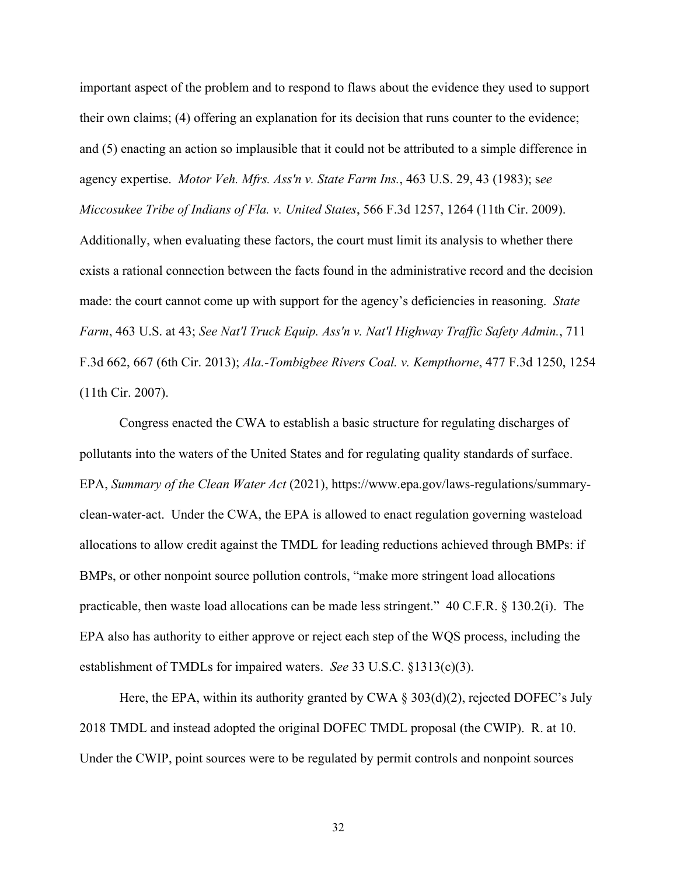important aspect of the problem and to respond to flaws about the evidence they used to support their own claims; (4) offering an explanation for its decision that runs counter to the evidence; and (5) enacting an action so implausible that it could not be attributed to a simple difference in agency expertise. *Motor Veh. Mfrs. Ass'n v. State Farm Ins.*, 463 U.S. 29, 43 (1983); s*ee Miccosukee Tribe of Indians of Fla. v. United States*, 566 F.3d 1257, 1264 (11th Cir. 2009). Additionally, when evaluating these factors, the court must limit its analysis to whether there exists a rational connection between the facts found in the administrative record and the decision made: the court cannot come up with support for the agency's deficiencies in reasoning. *State Farm*, 463 U.S. at 43; *See Nat'l Truck Equip. Ass'n v. Nat'l Highway Traffic Safety Admin.*, 711 F.3d 662, 667 (6th Cir. 2013); *Ala.-Tombigbee Rivers Coal. v. Kempthorne*, 477 F.3d 1250, 1254 (11th Cir. 2007).

Congress enacted the CWA to establish a basic structure for regulating discharges of pollutants into the waters of the United States and for regulating quality standards of surface. EPA, *Summary of the Clean Water Act* (2021), https://www.epa.gov/laws-regulations/summaryclean-water-act. Under the CWA, the EPA is allowed to enact regulation governing wasteload allocations to allow credit against the TMDL for leading reductions achieved through BMPs: if BMPs, or other nonpoint source pollution controls, "make more stringent load allocations practicable, then waste load allocations can be made less stringent." 40 C.F.R. § 130.2(i). The EPA also has authority to either approve or reject each step of the WQS process, including the establishment of TMDLs for impaired waters. *See* 33 U.S.C. §1313(c)(3).

Here, the EPA, within its authority granted by CWA  $\S 303(d)(2)$ , rejected DOFEC's July 2018 TMDL and instead adopted the original DOFEC TMDL proposal (the CWIP). R. at 10. Under the CWIP, point sources were to be regulated by permit controls and nonpoint sources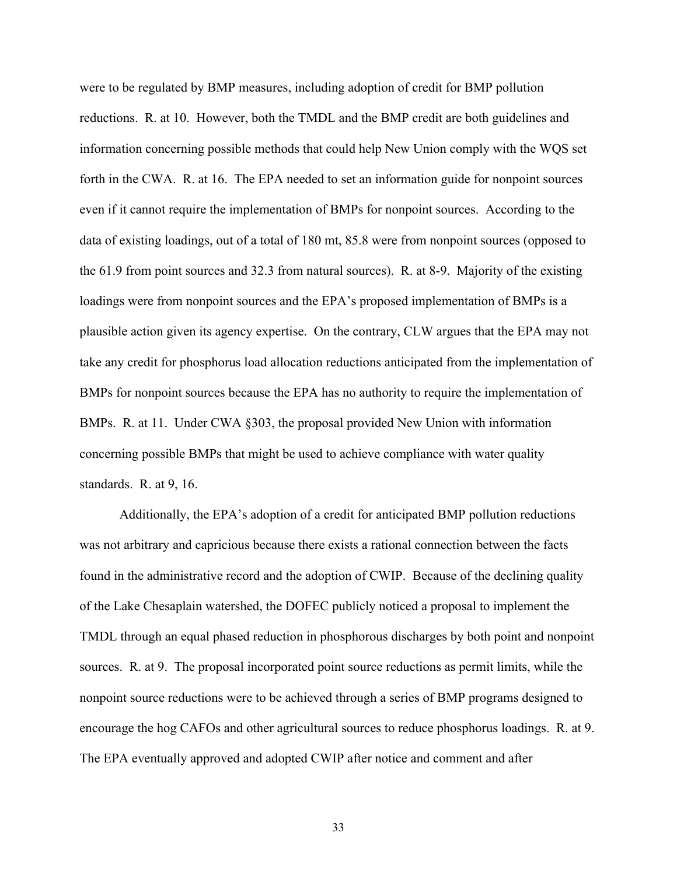were to be regulated by BMP measures, including adoption of credit for BMP pollution reductions. R. at 10. However, both the TMDL and the BMP credit are both guidelines and information concerning possible methods that could help New Union comply with the WQS set forth in the CWA. R. at 16. The EPA needed to set an information guide for nonpoint sources even if it cannot require the implementation of BMPs for nonpoint sources. According to the data of existing loadings, out of a total of 180 mt, 85.8 were from nonpoint sources (opposed to the 61.9 from point sources and 32.3 from natural sources). R. at 8-9. Majority of the existing loadings were from nonpoint sources and the EPA's proposed implementation of BMPs is a plausible action given its agency expertise. On the contrary, CLW argues that the EPA may not take any credit for phosphorus load allocation reductions anticipated from the implementation of BMPs for nonpoint sources because the EPA has no authority to require the implementation of BMPs. R. at 11. Under CWA §303, the proposal provided New Union with information concerning possible BMPs that might be used to achieve compliance with water quality standards. R. at 9, 16.

Additionally, the EPA's adoption of a credit for anticipated BMP pollution reductions was not arbitrary and capricious because there exists a rational connection between the facts found in the administrative record and the adoption of CWIP. Because of the declining quality of the Lake Chesaplain watershed, the DOFEC publicly noticed a proposal to implement the TMDL through an equal phased reduction in phosphorous discharges by both point and nonpoint sources. R. at 9. The proposal incorporated point source reductions as permit limits, while the nonpoint source reductions were to be achieved through a series of BMP programs designed to encourage the hog CAFOs and other agricultural sources to reduce phosphorus loadings. R. at 9. The EPA eventually approved and adopted CWIP after notice and comment and after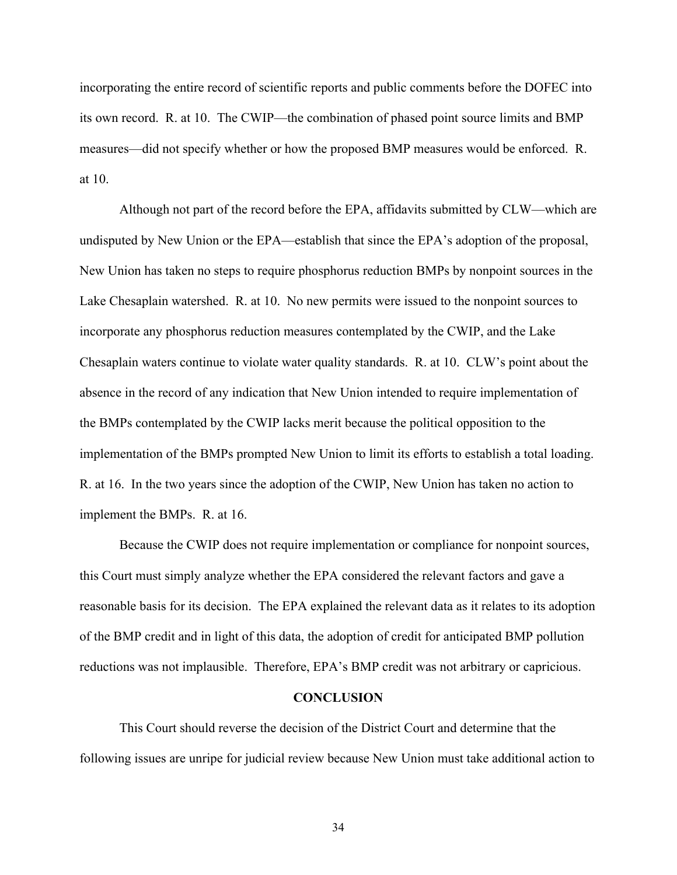incorporating the entire record of scientific reports and public comments before the DOFEC into its own record. R. at 10. The CWIP—the combination of phased point source limits and BMP measures—did not specify whether or how the proposed BMP measures would be enforced. R. at 10.

Although not part of the record before the EPA, affidavits submitted by CLW—which are undisputed by New Union or the EPA—establish that since the EPA's adoption of the proposal, New Union has taken no steps to require phosphorus reduction BMPs by nonpoint sources in the Lake Chesaplain watershed. R. at 10. No new permits were issued to the nonpoint sources to incorporate any phosphorus reduction measures contemplated by the CWIP, and the Lake Chesaplain waters continue to violate water quality standards. R. at 10. CLW's point about the absence in the record of any indication that New Union intended to require implementation of the BMPs contemplated by the CWIP lacks merit because the political opposition to the implementation of the BMPs prompted New Union to limit its efforts to establish a total loading. R. at 16. In the two years since the adoption of the CWIP, New Union has taken no action to implement the BMPs. R. at 16.

Because the CWIP does not require implementation or compliance for nonpoint sources, this Court must simply analyze whether the EPA considered the relevant factors and gave a reasonable basis for its decision. The EPA explained the relevant data as it relates to its adoption of the BMP credit and in light of this data, the adoption of credit for anticipated BMP pollution reductions was not implausible. Therefore, EPA's BMP credit was not arbitrary or capricious.

#### **CONCLUSION**

This Court should reverse the decision of the District Court and determine that the following issues are unripe for judicial review because New Union must take additional action to